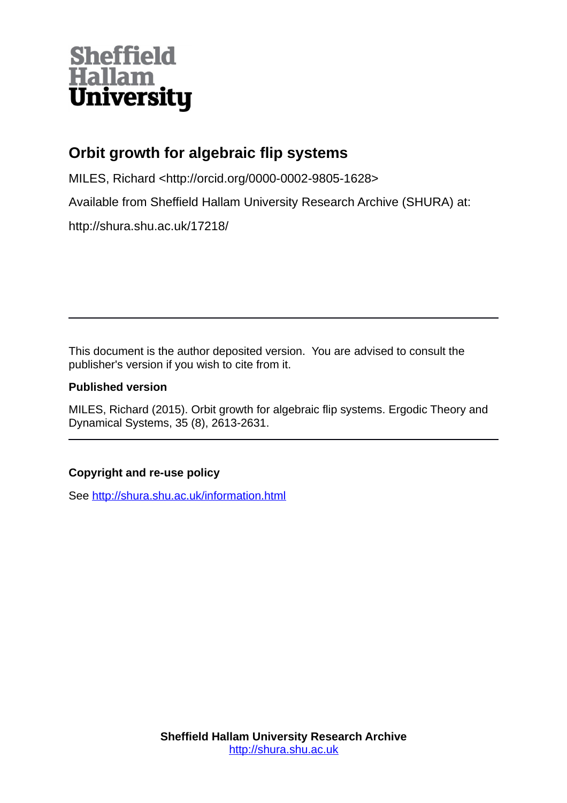# **Sheffield<br>Hallam<br>University**

# **Orbit growth for algebraic flip systems**

MILES, Richard <http://orcid.org/0000-0002-9805-1628>

Available from Sheffield Hallam University Research Archive (SHURA) at:

http://shura.shu.ac.uk/17218/

This document is the author deposited version. You are advised to consult the publisher's version if you wish to cite from it.

### **Published version**

MILES, Richard (2015). Orbit growth for algebraic flip systems. Ergodic Theory and Dynamical Systems, 35 (8), 2613-2631.

## **Copyright and re-use policy**

See<http://shura.shu.ac.uk/information.html>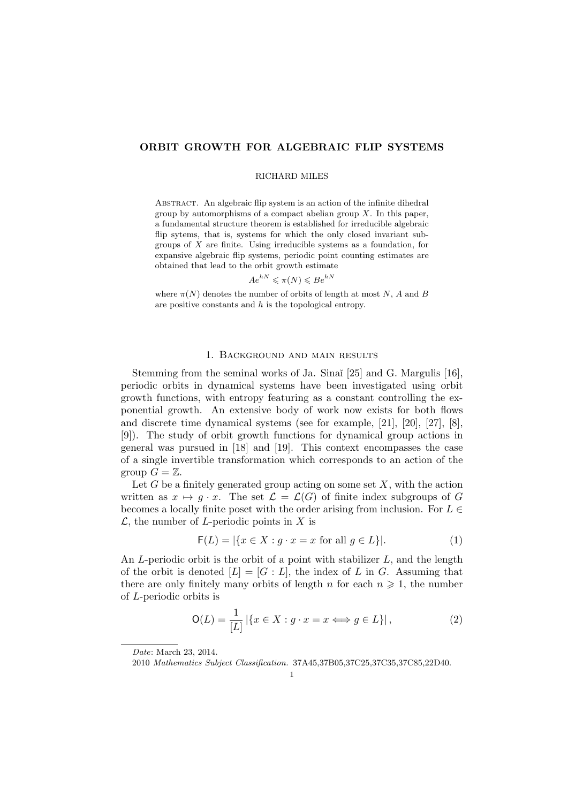#### ORBIT GROWTH FOR ALGEBRAIC FLIP SYSTEMS

#### RICHARD MILES

ABSTRACT. An algebraic flip system is an action of the infinite dihedral group by automorphisms of a compact abelian group  $X$ . In this paper, a fundamental structure theorem is established for irreducible algebraic flip sytems, that is, systems for which the only closed invariant subgroups of  $X$  are finite. Using irreducible systems as a foundation, for expansive algebraic flip systems, periodic point counting estimates are obtained that lead to the orbit growth estimate

$$
Ae^{hN} \leqslant \pi(N) \leqslant Be^{hN}
$$

where  $\pi(N)$  denotes the number of orbits of length at most N, A and B are positive constants and  $h$  is the topological entropy.

#### 1. Background and main results

Stemming from the seminal works of Ja. Sinaĭ [25] and G. Margulis [16], periodic orbits in dynamical systems have been investigated using orbit growth functions, with entropy featuring as a constant controlling the exponential growth. An extensive body of work now exists for both flows and discrete time dynamical systems (see for example, [21], [20], [27], [8], [9]). The study of orbit growth functions for dynamical group actions in general was pursued in [18] and [19]. This context encompasses the case of a single invertible transformation which corresponds to an action of the group  $G = \mathbb{Z}$ .

Let  $G$  be a finitely generated group acting on some set  $X$ , with the action written as  $x \mapsto q \cdot x$ . The set  $\mathcal{L} = \mathcal{L}(G)$  of finite index subgroups of G becomes a locally finite poset with the order arising from inclusion. For  $L \in$  $\mathcal{L}$ , the number of *L*-periodic points in X is

$$
\mathsf{F}(L) = |\{x \in X : g \cdot x = x \text{ for all } g \in L\}|. \tag{1}
$$

An  $L$ -periodic orbit is the orbit of a point with stabilizer  $L$ , and the length of the orbit is denoted  $[L] = [G : L]$ , the index of L in G. Assuming that there are only finitely many orbits of length n for each  $n \geq 1$ , the number of L-periodic orbits is

$$
\mathsf{O}(L) = \frac{1}{[L]} |\{x \in X : g \cdot x = x \Longleftrightarrow g \in L\}|,\tag{2}
$$

Date: March 23, 2014.

<sup>2010</sup> Mathematics Subject Classification. 37A45,37B05,37C25,37C35,37C85,22D40.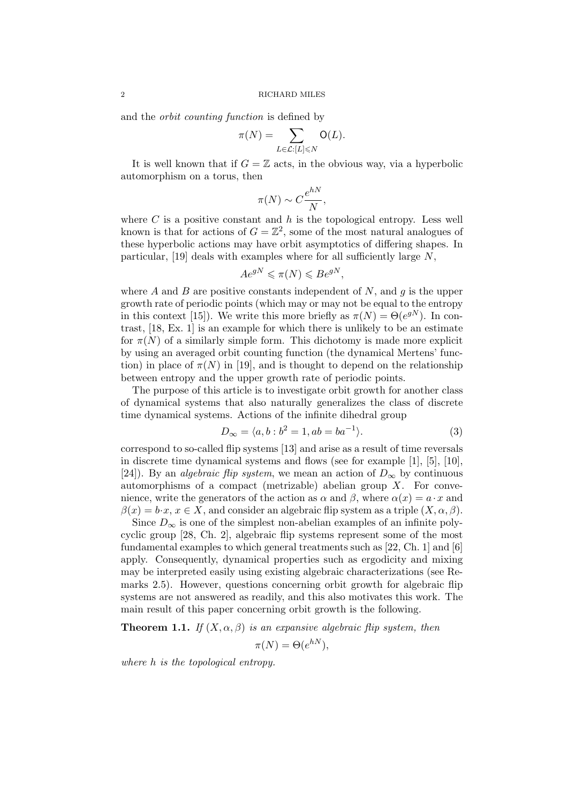and the orbit counting function is defined by

$$
\pi(N) = \sum_{L \in \mathcal{L}: [L] \leq N} \mathsf{O}(L).
$$

It is well known that if  $G = \mathbb{Z}$  acts, in the obvious way, via a hyperbolic automorphism on a torus, then

$$
\pi(N) \sim C \frac{e^{hN}}{N},
$$

where  $C$  is a positive constant and  $h$  is the topological entropy. Less well known is that for actions of  $G = \mathbb{Z}^2$ , some of the most natural analogues of these hyperbolic actions may have orbit asymptotics of differing shapes. In particular, [19] deals with examples where for all sufficiently large  $N$ ,

$$
Ae^{gN} \leqslant \pi(N) \leqslant Be^{gN},
$$

where A and B are positive constants independent of N, and q is the upper growth rate of periodic points (which may or may not be equal to the entropy in this context [15]). We write this more briefly as  $\pi(N) = \Theta(e^{gN})$ . In contrast, [18, Ex. 1] is an example for which there is unlikely to be an estimate for  $\pi(N)$  of a similarly simple form. This dichotomy is made more explicit by using an averaged orbit counting function (the dynamical Mertens' function) in place of  $\pi(N)$  in [19], and is thought to depend on the relationship between entropy and the upper growth rate of periodic points.

The purpose of this article is to investigate orbit growth for another class of dynamical systems that also naturally generalizes the class of discrete time dynamical systems. Actions of the infinite dihedral group

$$
D_{\infty} = \langle a, b : b^2 = 1, ab = ba^{-1} \rangle.
$$
 (3)

correspond to so-called flip systems [13] and arise as a result of time reversals in discrete time dynamical systems and flows (see for example [1], [5], [10], [24]). By an *algebraic flip system*, we mean an action of  $D_{\infty}$  by continuous automorphisms of a compact (metrizable) abelian group  $X$ . For convenience, write the generators of the action as  $\alpha$  and  $\beta$ , where  $\alpha(x) = a \cdot x$  and  $\beta(x) = b \cdot x, x \in X$ , and consider an algebraic flip system as a triple  $(X, \alpha, \beta)$ .

Since  $D_{\infty}$  is one of the simplest non-abelian examples of an infinite polycyclic group [28, Ch. 2], algebraic flip systems represent some of the most fundamental examples to which general treatments such as  $[22, Ch. 1]$  and  $[6]$ apply. Consequently, dynamical properties such as ergodicity and mixing may be interpreted easily using existing algebraic characterizations (see Remarks 2.5). However, questions concerning orbit growth for algebraic flip systems are not answered as readily, and this also motivates this work. The main result of this paper concerning orbit growth is the following.

**Theorem 1.1.** If  $(X, \alpha, \beta)$  is an expansive algebraic flip system, then

$$
\pi(N) = \Theta(e^{hN}),
$$

where h is the topological entropy.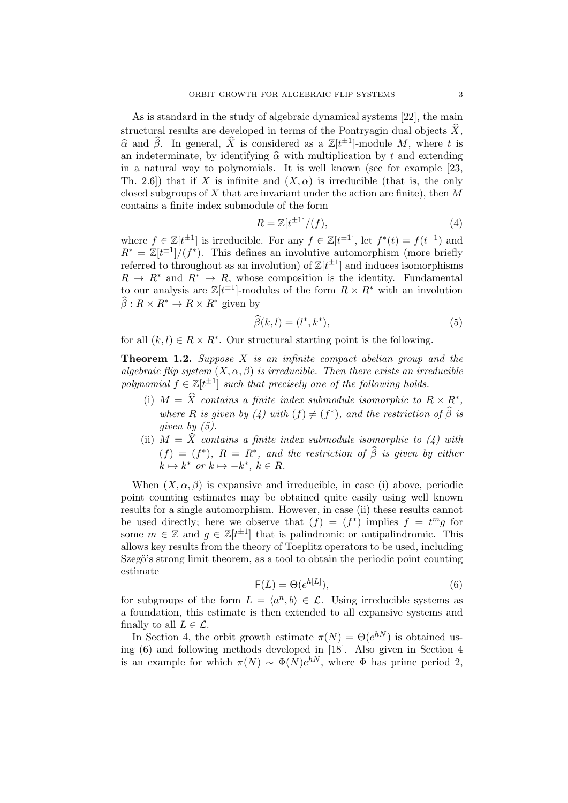As is standard in the study of algebraic dynamical systems [22], the main structural results are developed in terms of the Pontryagin dual objects  $\hat{X}$ ,  $\hat{\alpha}$  and  $\hat{\beta}$ . In general,  $\hat{X}$  is considered as a  $\mathbb{Z}[t^{\pm 1}]$ -module M, where t is an indeterminate, by identifying  $\hat{\alpha}$  with multiplication by t and extending in a natural way to polynomials. It is well known (see for example [23, Th. 2.6) that if X is infinite and  $(X, \alpha)$  is irreducible (that is, the only closed subgroups of  $X$  that are invariant under the action are finite), then  $M$ contains a finite index submodule of the form

$$
R = \mathbb{Z}[t^{\pm 1}]/(f),\tag{4}
$$

where  $f \in \mathbb{Z}[t^{\pm 1}]$  is irreducible. For any  $f \in \mathbb{Z}[t^{\pm 1}]$ , let  $f^*(t) = f(t^{-1})$  and  $R^* = \mathbb{Z}[t^{\pm 1}]/(f^*)$ . This defines an involutive automorphism (more briefly referred to throughout as an involution) of  $\mathbb{Z}[t^{\pm 1}]$  and induces isomorphisms  $R \to R^*$  and  $R^* \to R$ , whose composition is the identity. Fundamental to our analysis are  $\mathbb{Z}[t^{\pm 1}]$ -modules of the form  $R \times R^*$  with an involution  $\widehat{\beta}: R \times R^* \to R \times R^*$  given by

$$
\widehat{\beta}(k,l) = (l^*, k^*),\tag{5}
$$

for all  $(k, l) \in R \times R^*$ . Our structural starting point is the following.

**Theorem 1.2.** Suppose  $X$  is an infinite compact abelian group and the algebraic flip system  $(X, \alpha, \beta)$  is irreducible. Then there exists an irreducible polynomial  $f \in \mathbb{Z}[t^{\pm 1}]$  such that precisely one of the following holds.

- (i)  $M = \hat{X}$  contains a finite index submodule isomorphic to  $R \times R^*$ , where R is given by (4) with  $(f) \neq (f^*)$ , and the restriction of  $\widehat{\beta}$  is given by  $(5)$ .
- (ii)  $M = \hat{X}$  contains a finite index submodule isomorphic to (4) with  $(f) = (f^*), R = R^*$ , and the restriction of  $\hat{\beta}$  is given by either  $k \mapsto k^*$  or  $k \mapsto -k^*, k \in R$ .

When  $(X, \alpha, \beta)$  is expansive and irreducible, in case (i) above, periodic point counting estimates may be obtained quite easily using well known results for a single automorphism. However, in case (ii) these results cannot be used directly; here we observe that  $(f) = (f^*)$  implies  $f = t^m g$  for some  $m \in \mathbb{Z}$  and  $g \in \mathbb{Z}[t^{\pm 1}]$  that is palindromic or antipalindromic. This allows key results from the theory of Toeplitz operators to be used, including Szegö's strong limit theorem, as a tool to obtain the periodic point counting estimate

$$
\mathsf{F}(L) = \Theta(e^{h[L]}),\tag{6}
$$

for subgroups of the form  $L = \langle a^n, b \rangle \in \mathcal{L}$ . Using irreducible systems as a foundation, this estimate is then extended to all expansive systems and finally to all  $L \in \mathcal{L}$ .

In Section 4, the orbit growth estimate  $\pi(N) = \Theta(e^{hN})$  is obtained using (6) and following methods developed in [18]. Also given in Section 4 is an example for which  $\pi(N) \sim \Phi(N)e^{hN}$ , where  $\Phi$  has prime period 2,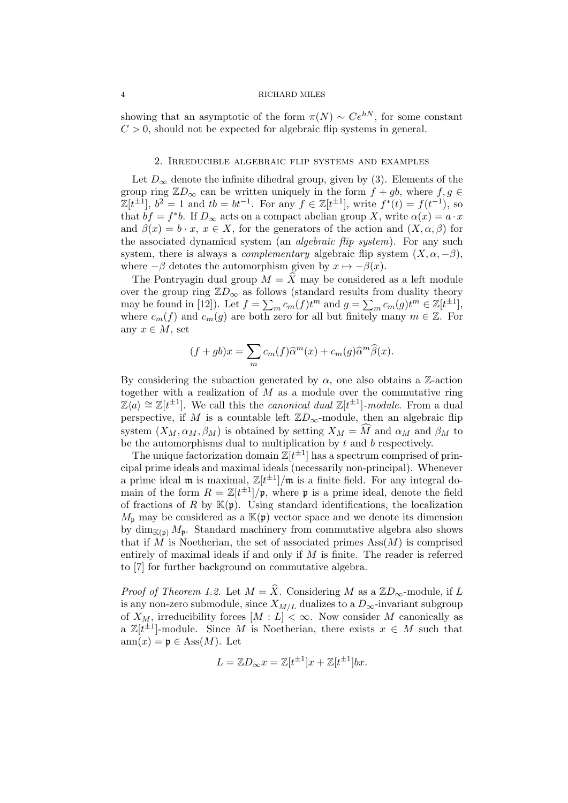showing that an asymptotic of the form  $\pi(N) \sim Ce^{hN}$ , for some constant  $C > 0$ , should not be expected for algebraic flip systems in general.

#### 2. Irreducible algebraic flip systems and examples

Let  $D_{\infty}$  denote the infinite dihedral group, given by (3). Elements of the group ring  $\mathbb{Z}D_{\infty}$  can be written uniquely in the form  $f + gb$ , where  $f, g \in$  $\mathbb{Z}[t^{\pm 1}]$ ,  $b^2 = 1$  and  $tb = bt^{-1}$ . For any  $f \in \mathbb{Z}[t^{\pm 1}]$ , write  $f^*(t) = f(t^{-1})$ , so that  $bf = f^*b$ . If  $D_{\infty}$  acts on a compact abelian group X, write  $\alpha(x) = a \cdot x$ and  $\beta(x) = b \cdot x, x \in X$ , for the generators of the action and  $(X, \alpha, \beta)$  for the associated dynamical system (an *algebraic flip system*). For any such system, there is always a *complementary* algebraic flip system  $(X, \alpha, -\beta)$ , where  $-\beta$  detotes the automorphism given by  $x \mapsto -\beta(x)$ .

The Pontryagin dual group  $M = \widehat{X}$  may be considered as a left module over the group ring  $\mathbb{Z}D_{\infty}$  as follows (standard results from duality theory may be found in [12]). Let  $f = \sum_m c_m(f)t^m$  and  $g = \sum_m c_m(g)t^m \in \mathbb{Z}[t^{\pm 1}],$ where  $c_m(f)$  and  $c_m(g)$  are both zero for all but finitely many  $m \in \mathbb{Z}$ . For any  $x \in M$ , set

$$
(f+gb)x = \sum_{m} c_m(f)\widehat{\alpha}^m(x) + c_m(g)\widehat{\alpha}^m\widehat{\beta}(x).
$$

By considering the subaction generated by  $\alpha$ , one also obtains a Z-action together with a realization of  $M$  as a module over the commutative ring  $\mathbb{Z}\langle a \rangle \cong \mathbb{Z}[t^{\pm 1}]$ . We call this the *canonical dual*  $\mathbb{Z}[t^{\pm 1}]$ -module. From a dual perspective, if M is a countable left  $\mathbb{Z}D_{\infty}$ -module, then an algebraic flip system  $(X_M, \alpha_M, \beta_M)$  is obtained by setting  $X_M = \widehat{M}$  and  $\alpha_M$  and  $\beta_M$  to be the automorphisms dual to multiplication by  $t$  and  $b$  respectively.

The unique factorization domain  $\mathbb{Z}[t^{\pm 1}]$  has a spectrum comprised of principal prime ideals and maximal ideals (necessarily non-principal). Whenever a prime ideal m is maximal,  $\mathbb{Z}[t^{\pm 1}]/m$  is a finite field. For any integral domain of the form  $R = \mathbb{Z}[t^{\pm 1}]/p$ , where p is a prime ideal, denote the field of fractions of R by  $\mathbb{K}(\mathfrak{p})$ . Using standard identifications, the localization  $M_{\mathfrak{p}}$  may be considered as a  $\mathbb{K}(\mathfrak{p})$  vector space and we denote its dimension by  $\dim_{\mathbb{K}(\mathfrak{p})} M_{\mathfrak{p}}$ . Standard machinery from commutative algebra also shows that if M is Noetherian, the set of associated primes  $\text{Ass}(M)$  is comprised entirely of maximal ideals if and only if  $M$  is finite. The reader is referred to [7] for further background on commutative algebra.

*Proof of Theorem 1.2.* Let  $M = \hat{X}$ . Considering M as a  $\mathbb{Z}D_{\infty}$ -module, if L is any non-zero submodule, since  $X_{M/L}$  dualizes to a  $D_{\infty}$ -invariant subgroup of  $X_M$ , irreducibility forces  $[M: L] < \infty$ . Now consider M canonically as a  $\mathbb{Z}[t^{\pm 1}]$ -module. Since M is Noetherian, there exists  $x \in M$  such that  $ann(x) = p \in Ass(M)$ . Let

$$
L = \mathbb{Z}D_{\infty}x = \mathbb{Z}[t^{\pm 1}]x + \mathbb{Z}[t^{\pm 1}]bx.
$$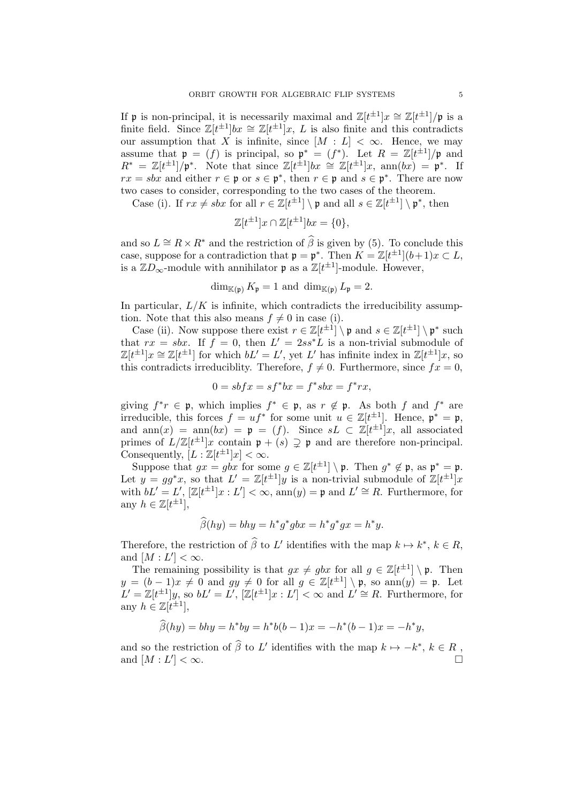If p is non-principal, it is necessarily maximal and  $\mathbb{Z}[t^{\pm 1}]x \cong \mathbb{Z}[t^{\pm 1}]/\mathfrak{p}$  is a finite field. Since  $\mathbb{Z}[t^{\pm 1}]bx \cong \mathbb{Z}[t^{\pm 1}]x$ , L is also finite and this contradicts our assumption that X is infinite, since  $[M : L] < \infty$ . Hence, we may assume that  $\mathfrak{p} = (f)$  is principal, so  $\mathfrak{p}^* = (f^*)$ . Let  $R = \mathbb{Z}[t^{\pm 1}]/\mathfrak{p}$  and  $R^* = \mathbb{Z}[t^{\pm 1}]/\mathfrak{p}^*$ . Note that since  $\mathbb{Z}[t^{\pm 1}]bx \cong \mathbb{Z}[t^{\pm 1}]x$ ,  $\text{ann}(bx) = \mathfrak{p}^*$ . If  $rx = sbx$  and either  $r \in \mathfrak{p}$  or  $s \in \mathfrak{p}^*$ , then  $r \in \mathfrak{p}$  and  $s \in \mathfrak{p}^*$ . There are now two cases to consider, corresponding to the two cases of the theorem.

Case (i). If  $rx \neq sbx$  for all  $r \in \mathbb{Z}[t^{\pm 1}] \setminus \mathfrak{p}$  and all  $s \in \mathbb{Z}[t^{\pm 1}] \setminus \mathfrak{p}^*$ , then

$$
\mathbb{Z}[t^{\pm 1}]x \cap \mathbb{Z}[t^{\pm 1}]bx = \{0\},\
$$

and so  $L \cong R \times R^*$  and the restriction of  $\widehat{\beta}$  is given by (5). To conclude this case, suppose for a contradiction that  $\mathfrak{p} = \mathfrak{p}^*$ . Then  $K = \mathbb{Z}[t^{\pm 1}](b+1)x \subset L$ , is a  $\mathbb{Z}D_{\infty}$ -module with annihilator  $\mathfrak{p}$  as a  $\mathbb{Z}[t^{\pm 1}]$ -module. However,

$$
\dim_{\mathbb{K}(\mathfrak{p})} K_{\mathfrak{p}} = 1 \text{ and } \dim_{\mathbb{K}(\mathfrak{p})} L_{\mathfrak{p}} = 2.
$$

In particular,  $L/K$  is infinite, which contradicts the irreducibility assumption. Note that this also means  $f \neq 0$  in case (i).

Case (ii). Now suppose there exist  $r \in \mathbb{Z}[t^{\pm 1}] \setminus \mathfrak{p}$  and  $s \in \mathbb{Z}[t^{\pm 1}] \setminus \mathfrak{p}^*$  such that  $rx = sbx$ . If  $f = 0$ , then  $L' = 2ss^*L$  is a non-trivial submodule of  $\mathbb{Z}[t^{\pm 1}]x \cong \mathbb{Z}[t^{\pm 1}]$  for which  $bL' = L'$ , yet L' has infinite index in  $\mathbb{Z}[t^{\pm 1}]x$ , so this contradicts irreduciblity. Therefore,  $f \neq 0$ . Furthermore, since  $fx = 0$ ,

$$
0 = sbf x = sf^*bx = f^*sbx = f^*rx,
$$

giving  $f^*r \in \mathfrak{p}$ , which implies  $f^* \in \mathfrak{p}$ , as  $r \notin \mathfrak{p}$ . As both f and  $f^*$  are irreducible, this forces  $f = uf^*$  for some unit  $u \in \mathbb{Z}[t^{\pm 1}]$ . Hence,  $\mathfrak{p}^* = \mathfrak{p}$ , and  $ann(x) = ann(bx) = p = (f)$ . Since  $sL \subset \mathbb{Z}[t^{\pm 1}]x$ , all associated primes of  $L/\mathbb{Z}[t^{\pm 1}]x$  contain  $\mathfrak{p} + (s) \supsetneq \mathfrak{p}$  and are therefore non-principal. Consequently,  $[L : \mathbb{Z}[t^{\pm 1}]x] < \infty$ .

Suppose that  $gx = gbx$  for some  $g \in \mathbb{Z}[t^{\pm 1}] \setminus \mathfrak{p}$ . Then  $g^* \notin \mathfrak{p}$ , as  $\mathfrak{p}^* = \mathfrak{p}$ . Let  $y = gg^*x$ , so that  $L' = \mathbb{Z}[t^{\pm 1}]y$  is a non-trivial submodule of  $\mathbb{Z}[t^{\pm 1}]x$ with  $bL' = L'$ ,  $[\mathbb{Z}[t^{\pm 1}]x : L'] < \infty$ ,  $\text{ann}(y) = \mathfrak{p}$  and  $L' \cong R$ . Furthermore, for any  $h \in \mathbb{Z}[t^{\pm 1}],$ 

$$
\widehat{\beta}(hy) = bhy = h^*g^*gbx = h^*g^*gx = h^*y.
$$

Therefore, the restriction of  $\widehat{\beta}$  to L' identifies with the map  $k \mapsto k^*, k \in R$ , and  $[M:L'] < \infty$ .

The remaining possibility is that  $gx \neq gbx$  for all  $g \in \mathbb{Z}[t^{\pm 1}] \setminus \mathfrak{p}$ . Then  $y = (b-1)x \neq 0$  and  $gy \neq 0$  for all  $g \in \mathbb{Z}[t^{\pm 1}] \setminus \mathfrak{p}$ , so ann $(y) = \mathfrak{p}$ . Let  $L' = \mathbb{Z}[t^{\pm 1}]y$ , so  $bL' = L'$ ,  $[\mathbb{Z}[t^{\pm 1}]x : L'] < \infty$  and  $L' \cong R$ . Furthermore, for any  $h \in \mathbb{Z}[t^{\pm 1}],$ 

$$
\widehat{\beta}(hy) = bhy = h^*by = h^*b(b-1)x = -h^*(b-1)x = -h^*y,
$$

and so the restriction of  $\widehat{\beta}$  to L' identifies with the map  $k \mapsto -k^*$ ,  $k \in R$ , and  $[M:L]$  $\vert < \infty$ .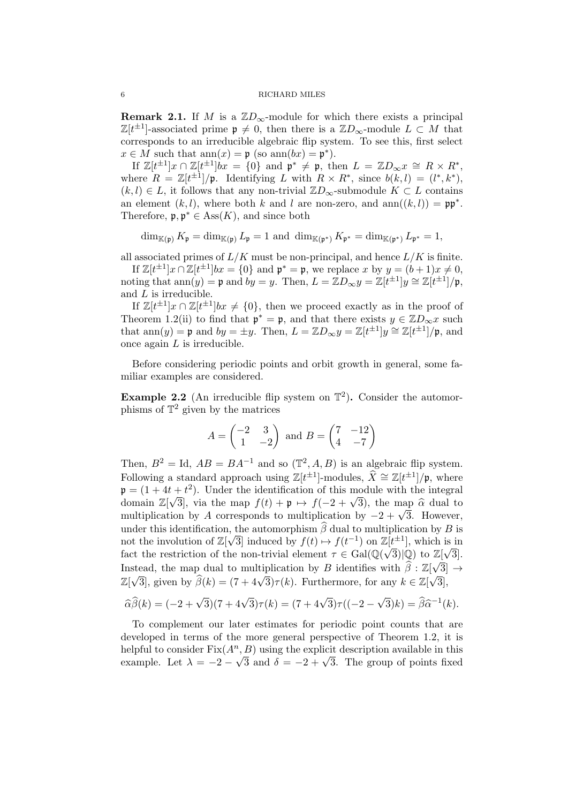**Remark 2.1.** If M is a  $\mathbb{Z}D_{\infty}$ -module for which there exists a principal  $\mathbb{Z}[t^{\pm 1}]$ -associated prime  $\mathfrak{p} \neq 0$ , then there is a  $\mathbb{Z}D_{\infty}$ -module  $L \subset M$  that corresponds to an irreducible algebraic flip system. To see this, first select  $x \in M$  such that  $ann(x) = \mathfrak{p}$  (so  $ann(bx) = \mathfrak{p}^*$ ).

If  $\mathbb{Z}[t^{\pm 1}]x \cap \mathbb{Z}[t^{\pm 1}]$ *bx* = {0} and  $\mathfrak{p}^* \neq \mathfrak{p}$ , then  $L = \mathbb{Z}D_{\infty}x \cong R \times R^*$ , where  $R = \mathbb{Z}[t^{\pm 1}]/\mathfrak{p}$ . Identifying L with  $R \times R^*$ , since  $b(k,l) = (l^*,k^*)$ ,  $(k, l) \in L$ , it follows that any non-trivial  $\mathbb{Z}D_{\infty}$ -submodule  $K \subset L$  contains an element  $(k, l)$ , where both k and l are non-zero, and ann $((k, l)) = \mathfrak{pp}^*$ . Therefore,  $\mathfrak{p}, \mathfrak{p}^* \in \text{Ass}(K)$ , and since both

 $\dim_{\mathbb{K}(\mathfrak{p})} K_{\mathfrak{p}} = \dim_{\mathbb{K}(\mathfrak{p})} L_{\mathfrak{p}} = 1$  and  $\dim_{\mathbb{K}(\mathfrak{p}^*)} K_{\mathfrak{p}^*} = \dim_{\mathbb{K}(\mathfrak{p}^*)} L_{\mathfrak{p}^*} = 1$ ,

all associated primes of  $L/K$  must be non-principal, and hence  $L/K$  is finite.

If  $\mathbb{Z}[t^{\pm 1}]x \cap \mathbb{Z}[t^{\pm 1}]bx = \{0\}$  and  $\mathfrak{p}^* = \mathfrak{p}$ , we replace x by  $y = (b+1)x \neq 0$ , noting that  $\text{ann}(y) = \mathfrak{p}$  and  $by = y$ . Then,  $L = \mathbb{Z}D_{\infty}y = \mathbb{Z}[t^{\pm 1}]y \cong \mathbb{Z}[t^{\pm 1}]/\mathfrak{p},$ and L is irreducible.

If  $\mathbb{Z}[t^{\pm 1}]x \cap \mathbb{Z}[t^{\pm 1}]$  bx  $\neq \{0\}$ , then we proceed exactly as in the proof of Theorem 1.2(ii) to find that  $\mathfrak{p}^* = \mathfrak{p}$ , and that there exists  $y \in \mathbb{Z}D_{\infty}x$  such that  $\text{ann}(y) = \mathfrak{p}$  and  $by = \pm y$ . Then,  $L = \mathbb{Z}D_{\infty}y = \mathbb{Z}[t^{\pm 1}]y \cong \mathbb{Z}[t^{\pm 1}]/\mathfrak{p}$ , and once again  $L$  is irreducible.

Before considering periodic points and orbit growth in general, some familiar examples are considered.

**Example 2.2** (An irreducible flip system on  $\mathbb{T}^2$ ). Consider the automorphisms of  $\mathbb{T}^2$  given by the matrices

$$
A = \begin{pmatrix} -2 & 3\\ 1 & -2 \end{pmatrix} \text{ and } B = \begin{pmatrix} 7 & -12\\ 4 & -7 \end{pmatrix}
$$

Then,  $B^2 = \text{Id}$ ,  $AB = BA^{-1}$  and so  $(\mathbb{T}^2, A, B)$  is an algebraic flip system. Following a standard approach using  $\mathbb{Z}[t^{\pm 1}]$ -modules,  $\hat{X} \cong \mathbb{Z}[t^{\pm 1}]/\mathfrak{p}$ , where  $\mathfrak{p} = (1 + 4t + t^2)$ . Under the identification of this module with the integral  $\mathfrak{p} = (1 + 4t + t^{-})$ . Onder the identification of this module with the integral<br>domain  $\mathbb{Z}[\sqrt{3}]$ , via the map  $f(t) + \mathfrak{p} \mapsto f(-2 + \sqrt{3})$ , the map  $\hat{\alpha}$  dual to<br>multiplication by A corresponds to multiplication by  $2 +$ domain  $\mathbb{Z}[V_3]$ , via the map  $f(t) + \mathfrak{p} \mapsto f(-2 + \sqrt{3})$ , the map α dual to multiplication by A corresponds to multiplication by  $-2 + \sqrt{3}$ . However, under this identification, the automorphism  $\beta$  dual to multiplication by B is not the involution of  $\mathbb{Z}[\sqrt{3}]$  induced by  $f(t) \mapsto f(t^{-1})$  on  $\mathbb{Z}[t^{\pm 1}]$ , which is in fact the restriction of the non-trivial element  $\tau \in \text{Gal}(\mathbb{Q}(\sqrt{3})|\mathbb{Q})$  to  $\mathbb{Z}[\sqrt{3}]$ . Instead, the map dual to multiplication by B identifies with  $\hat{\beta} : \mathbb{Z}[\sqrt{3}] \rightarrow$ Example 2. This can be made to multiplication by B fuentiles with  $p : \mathbb{Z}[\sqrt{3}]$ , given by  $\widehat{\beta}(k) = (7 + 4\sqrt{3})\tau(k)$ . Furthermore, for any  $k \in \mathbb{Z}[\sqrt{3}]$ ,

$$
\widehat{\alpha}\widehat{\beta}(k) = (-2 + \sqrt{3})(7 + 4\sqrt{3})\tau(k) = (7 + 4\sqrt{3})\tau((-2 - \sqrt{3})k) = \widehat{\beta}\widehat{\alpha}^{-1}(k).
$$

To complement our later estimates for periodic point counts that are developed in terms of the more general perspective of Theorem 1.2, it is helpful to consider  $Fix(A^n, B)$  using the explicit description available in this example. Let  $\lambda = -2 - \sqrt{3}$  and  $\delta = -2 + \sqrt{3}$ . The group of points fixed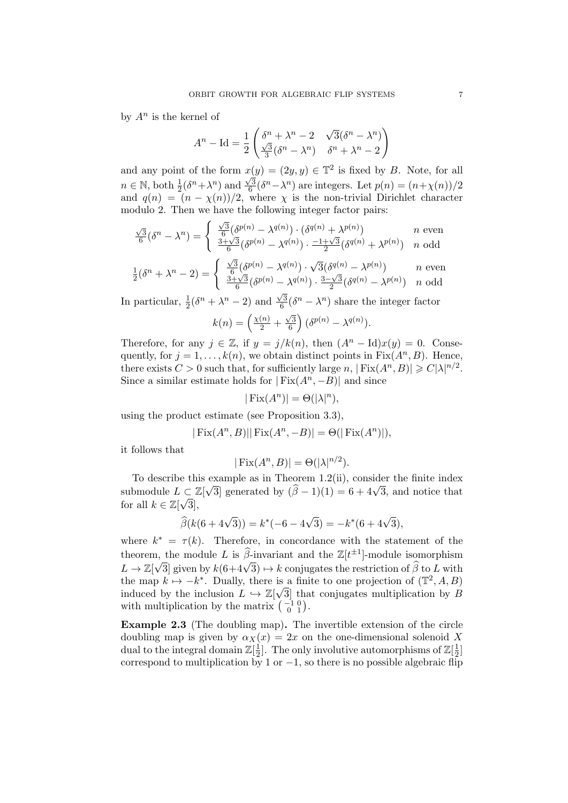by  $A^n$  is the kernel of

$$
A^{n} - \mathrm{Id} = \frac{1}{2} \begin{pmatrix} \delta^{n} + \lambda^{n} - 2 & \sqrt{3}(\delta^{n} - \lambda^{n}) \\ \frac{\sqrt{3}}{3}(\delta^{n} - \lambda^{n}) & \delta^{n} + \lambda^{n} - 2 \end{pmatrix}
$$

and any point of the form  $x(y) = (2y, y) \in \mathbb{T}^2$  is fixed by B. Note, for all  $n \in \mathbb{N}$ , both  $\frac{1}{2}(\delta^n + \lambda^n)$  and  $\frac{\sqrt{3}}{6}$  $\frac{\sqrt{3}}{6}(\delta^n - \lambda^n)$  are integers. Let  $p(n) = (n + \chi(n))/2$ and  $q(n) = (n - \chi(n))/2$ , where  $\chi$  is the non-trivial Dirichlet character modulo 2. Then we have the following integer factor pairs:

$$
\frac{\sqrt{3}}{6}(\delta^{n} - \lambda^{n}) = \begin{cases} \frac{\sqrt{3}}{6}(\delta^{p(n)} - \lambda^{q(n)}) \cdot (\delta^{q(n)} + \lambda^{p(n)}) & n \text{ even} \\ \frac{3+\sqrt{3}}{6}(\delta^{p(n)} - \lambda^{q(n)}) \cdot \frac{-1+\sqrt{3}}{2}(\delta^{q(n)} + \lambda^{p(n)}) & n \text{ odd} \end{cases}
$$

$$
\frac{1}{2}(\delta^n + \lambda^n - 2) = \begin{cases} \frac{\sqrt{3}}{6} (\delta^{p(n)} - \lambda^{q(n)}) \cdot \sqrt{3} (\delta^{q(n)} - \lambda^{p(n)}) & n \text{ even} \\ \frac{3 + \sqrt{3}}{6} (\delta^{p(n)} - \lambda^{q(n)}) \cdot \frac{3 - \sqrt{3}}{2} (\delta^{q(n)} - \lambda^{p(n)}) & n \text{ odd} \end{cases}
$$

In particular,  $\frac{1}{2}(\delta^n + \lambda^n - 2)$  and  $\frac{\sqrt{3}}{6}$  $\frac{\sqrt{3}}{6}(\delta^n - \lambda^n)$  share the integer factor

$$
k(n) = \left(\frac{\chi(n)}{2} + \frac{\sqrt{3}}{6}\right) (\delta^{p(n)} - \lambda^{q(n)}).
$$

Therefore, for any  $j \in \mathbb{Z}$ , if  $y = j/k(n)$ , then  $(A<sup>n</sup> - Id)x(y) = 0$ . Consequently, for  $j = 1, ..., k(n)$ , we obtain distinct points in  $Fix(A^n, B)$ . Hence, there exists  $C > 0$  such that, for sufficiently large  $n, |\text{Fix}(A^n, B)| \geqslant C |\lambda|^{n/2}$ . Since a similar estimate holds for  $|Fix(A^n, -B)|$  and since

$$
|\operatorname{Fix}(A^n)| = \Theta(|\lambda|^n),
$$

using the product estimate (see Proposition 3.3),

$$
|\operatorname{Fix}(A^n, B)||\operatorname{Fix}(A^n, -B)| = \Theta(|\operatorname{Fix}(A^n)|),
$$

it follows that

$$
|\operatorname{Fix}(A^n, B)| = \Theta(|\lambda|^{n/2}).
$$

To describe this example as in Theorem 1.2(ii), consider the finite index submodule  $L \subset \mathbb{Z}[\sqrt{3}]$  generated by  $(\widehat{\beta} - 1)(1) = 6 + 4\sqrt{3}$ , and notice that for all  $k \in \mathbb{Z}[\sqrt{3}],$ 

$$
\widehat{\beta}(k(6+4\sqrt{3})) = k^*(-6-4\sqrt{3}) = -k^*(6+4\sqrt{3}),
$$

where  $k^* = \tau(k)$ . Therefore, in concordance with the statement of the theorem, the module L is  $\hat{\beta}$ -invariant and the  $\mathbb{Z}[t^{\pm 1}]$ -module isomorphism theorem, the module E is  $\beta$ -invariant and the  $\mathbb{Z}[t]$ -inducted isomorphism<br>  $L \to \mathbb{Z}[\sqrt{3}]$  given by  $k(6+4\sqrt{3}) \mapsto k$  conjugates the restriction of  $\widehat{\beta}$  to L with the map  $k \mapsto -k^*$ . Dually, there is a finite to one projection of  $(\mathbb{T}^2, A, B)$ induced by the inclusion  $L \hookrightarrow \mathbb{Z}[\sqrt{3}]$  that conjugates multiplication by B with multiplication by the matrix  $\begin{pmatrix} -1 & 0 \\ 0 & 1 \end{pmatrix}$ .

Example 2.3 (The doubling map). The invertible extension of the circle doubling map is given by  $\alpha_X(x) = 2x$  on the one-dimensional solenoid X dual to the integral domain  $\mathbb{Z}[\frac{1}{2}]$  $\frac{1}{2}$ ]. The only involutive automorphisms of  $\mathbb{Z}[\frac{1}{2}]$  $\frac{1}{2}$ ] correspond to multiplication by 1 or  $-1$ , so there is no possible algebraic flip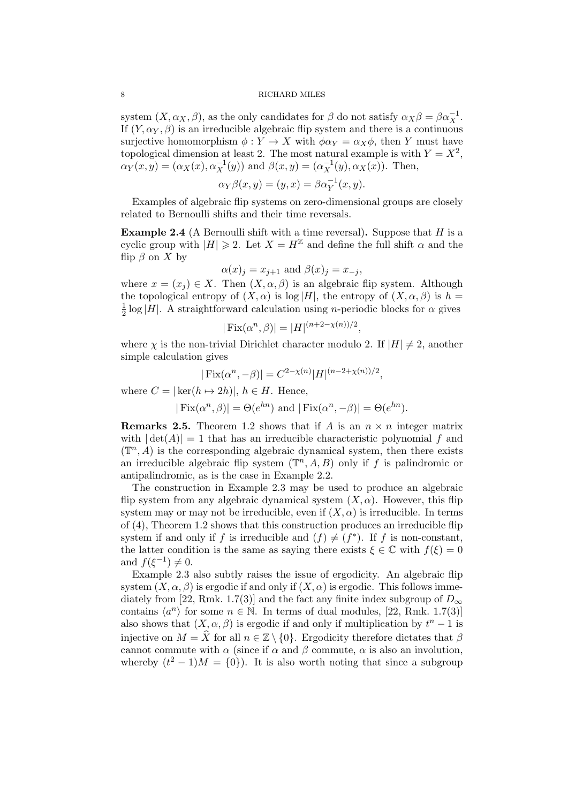system  $(X, \alpha_X, \beta)$ , as the only candidates for  $\beta$  do not satisfy  $\alpha_X \beta = \beta \alpha_X^{-1}$ . If  $(Y, \alpha_Y, \beta)$  is an irreducible algebraic flip system and there is a continuous surjective homomorphism  $\phi: Y \to X$  with  $\phi \alpha_Y = \alpha_X \phi$ , then Y must have topological dimension at least 2. The most natural example is with  $Y = X^2$ ,  $\alpha_Y(x,y) = (\alpha_X(x), \alpha_X^{-1}(y))$  and  $\beta(x,y) = (\alpha_X^{-1}(y), \alpha_X(x))$ . Then,

$$
\alpha_Y \beta(x, y) = (y, x) = \beta \alpha_Y^{-1}(x, y).
$$

Examples of algebraic flip systems on zero-dimensional groups are closely related to Bernoulli shifts and their time reversals.

**Example 2.4** (A Bernoulli shift with a time reversal). Suppose that  $H$  is a cyclic group with  $|H| \geq 2$ . Let  $X = H^{\mathbb{Z}}$  and define the full shift  $\alpha$  and the flip  $\beta$  on X by

$$
\alpha(x)_j = x_{j+1} \text{ and } \beta(x)_j = x_{-j},
$$

where  $x = (x_i) \in X$ . Then  $(X, \alpha, \beta)$  is an algebraic flip system. Although the topological entropy of  $(X, \alpha)$  is log |H|, the entropy of  $(X, \alpha, \beta)$  is  $h =$ 1  $\frac{1}{2}$  log |H|. A straightforward calculation using *n*-periodic blocks for  $\alpha$  gives

$$
|\text{Fix}(\alpha^n, \beta)| = |H|^{(n+2-\chi(n))/2},
$$

where  $\chi$  is the non-trivial Dirichlet character modulo 2. If  $|H| \neq 2$ , another simple calculation gives

$$
|\operatorname{Fix}(\alpha^n, -\beta)| = C^{2-\chi(n)} |H|^{(n-2+\chi(n))/2},
$$

where  $C = |\ker(h \mapsto 2h)|, h \in H$ . Hence,

$$
|\operatorname{Fix}(\alpha^n, \beta)| = \Theta(e^{hn}) \text{ and } |\operatorname{Fix}(\alpha^n, -\beta)| = \Theta(e^{hn}).
$$

**Remarks 2.5.** Theorem 1.2 shows that if A is an  $n \times n$  integer matrix with  $|\det(A)| = 1$  that has an irreducible characteristic polynomial f and  $(\mathbb{T}^n, A)$  is the corresponding algebraic dynamical system, then there exists an irreducible algebraic flip system  $(\mathbb{T}^n, A, B)$  only if f is palindromic or antipalindromic, as is the case in Example 2.2.

The construction in Example 2.3 may be used to produce an algebraic flip system from any algebraic dynamical system  $(X, \alpha)$ . However, this flip system may or may not be irreducible, even if  $(X, \alpha)$  is irreducible. In terms of (4), Theorem 1.2 shows that this construction produces an irreducible flip system if and only if f is irreducible and  $(f) \neq (f^*)$ . If f is non-constant, the latter condition is the same as saying there exists  $\xi \in \mathbb{C}$  with  $f(\xi) = 0$ and  $f(\xi^{-1}) \neq 0$ .

Example 2.3 also subtly raises the issue of ergodicity. An algebraic flip system  $(X, \alpha, \beta)$  is ergodic if and only if  $(X, \alpha)$  is ergodic. This follows immediately from [22, Rmk. 1.7(3)] and the fact any finite index subgroup of  $D_{\infty}$ contains  $\langle a^n \rangle$  for some  $n \in \mathbb{N}$ . In terms of dual modules, [22, Rmk. 1.7(3)] also shows that  $(X, \alpha, \beta)$  is ergodic if and only if multiplication by  $t^n - 1$  is injective on  $M = \hat{X}$  for all  $n \in \mathbb{Z} \setminus \{0\}$ . Ergodicity therefore dictates that  $\beta$ cannot commute with  $\alpha$  (since if  $\alpha$  and  $\beta$  commute,  $\alpha$  is also an involution, whereby  $(t^2 - 1)M = \{0\}$ . It is also worth noting that since a subgroup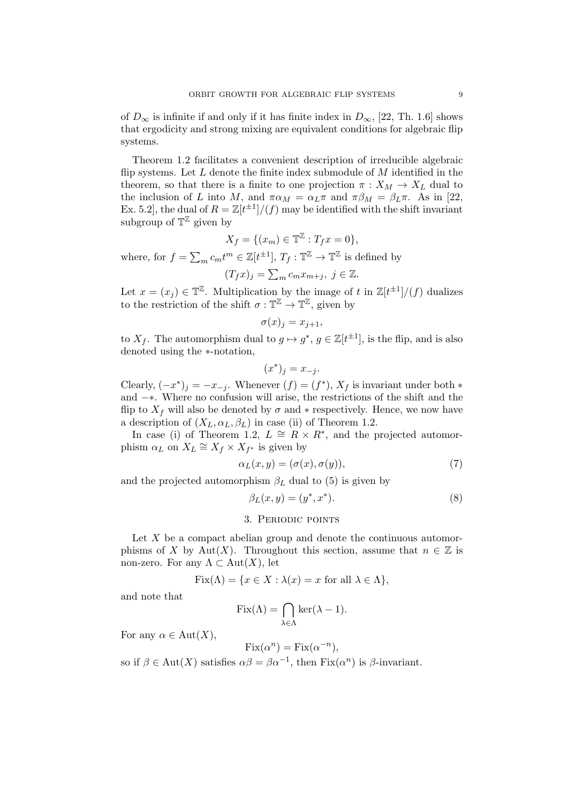of  $D_{\infty}$  is infinite if and only if it has finite index in  $D_{\infty}$ , [22, Th. 1.6] shows that ergodicity and strong mixing are equivalent conditions for algebraic flip systems.

Theorem 1.2 facilitates a convenient description of irreducible algebraic flip systems. Let  $L$  denote the finite index submodule of  $M$  identified in the theorem, so that there is a finite to one projection  $\pi : X_M \to X_L$  dual to the inclusion of L into M, and  $\pi \alpha_M = \alpha_L \pi$  and  $\pi \beta_M = \beta_L \pi$ . As in [22, Ex. 5.2, the dual of  $R = \mathbb{Z}[t^{\pm 1}]/(f)$  may be identified with the shift invariant subgroup of  $\mathbb{T}^{\mathbb{Z}}$  given by

$$
X_f = \{(x_m) \in \mathbb{T}^{\mathbb{Z}} : T_f x = 0\},\
$$

where, for  $f = \sum_m c_m t^m \in \mathbb{Z}[t^{\pm 1}], T_f : \mathbb{T}^{\mathbb{Z}} \to \mathbb{T}^{\mathbb{Z}}$  is defined by

$$
(T_f x)_j = \sum_m c_m x_{m+j}, \ j \in \mathbb{Z}.
$$

Let  $x = (x_j) \in \mathbb{T}^{\mathbb{Z}}$ . Multiplication by the image of t in  $\mathbb{Z}[t^{\pm 1}]/(f)$  dualizes to the restriction of the shift  $\sigma : \mathbb{T}^{\mathbb{Z}} \to \mathbb{T}^{\mathbb{Z}}$ , given by

$$
\sigma(x)_j = x_{j+1},
$$

to  $X_f$ . The automorphism dual to  $g \mapsto g^*, g \in \mathbb{Z}[t^{\pm 1}]$ , is the flip, and is also denoted using the ∗-notation,

$$
(x^*)_j = x_{-j}.
$$

Clearly,  $(-x^*)_j = -x_{-j}$ . Whenever  $(f) = (f^*)$ ,  $X_f$  is invariant under both  $*$ and −∗. Where no confusion will arise, the restrictions of the shift and the flip to  $X_f$  will also be denoted by  $\sigma$  and  $*$  respectively. Hence, we now have a description of  $(X_L, \alpha_L, \beta_L)$  in case (ii) of Theorem 1.2.

In case (i) of Theorem 1.2,  $L \cong R \times R^*$ , and the projected automorphism  $\alpha_L$  on  $X_L \cong X_f \times X_{f^*}$  is given by

$$
\alpha_L(x, y) = (\sigma(x), \sigma(y)),\tag{7}
$$

and the projected automorphism  $\beta_L$  dual to (5) is given by

$$
\beta_L(x, y) = (y^*, x^*). \tag{8}
$$

#### 3. Periodic points

Let  $X$  be a compact abelian group and denote the continuous automorphisms of X by Aut(X). Throughout this section, assume that  $n \in \mathbb{Z}$  is non-zero. For any  $\Lambda \subset \mathrm{Aut}(X)$ , let

$$
Fix(\Lambda) = \{ x \in X : \lambda(x) = x \text{ for all } \lambda \in \Lambda \},
$$

and note that

$$
\operatorname{Fix}(\Lambda)=\bigcap_{\lambda\in\Lambda}\operatorname{ker}(\lambda-1).
$$

For any  $\alpha \in Aut(X)$ ,

$$
Fix(\alpha^n) = Fix(\alpha^{-n}),
$$

so if  $\beta \in \text{Aut}(X)$  satisfies  $\alpha \beta = \beta \alpha^{-1}$ , then  $\text{Fix}(\alpha^n)$  is  $\beta$ -invariant.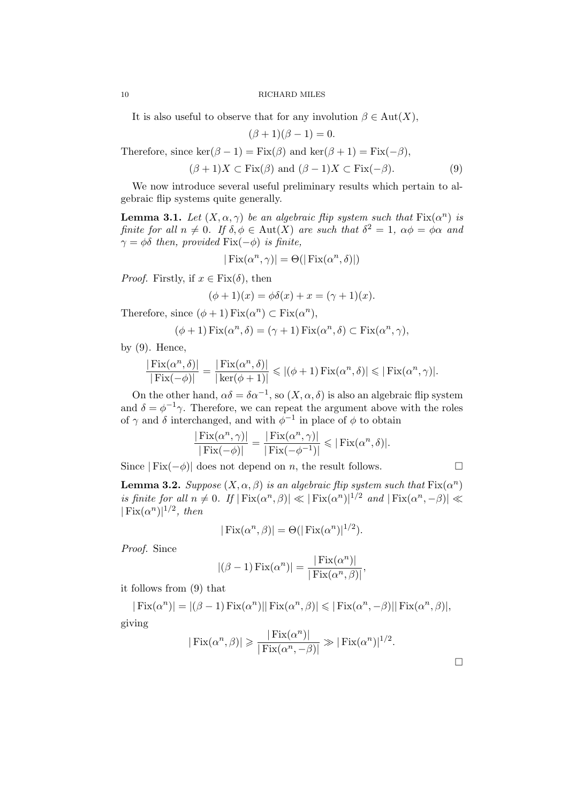It is also useful to observe that for any involution  $\beta \in Aut(X)$ ,

 $(\beta + 1)(\beta - 1) = 0.$ 

Therefore, since  $\ker(\beta - 1) = \text{Fix}(\beta)$  and  $\ker(\beta + 1) = \text{Fix}(-\beta)$ ,

 $(\beta + 1)X \subset \text{Fix}(\beta)$  and  $(\beta - 1)X \subset \text{Fix}(-\beta)$ . (9)

We now introduce several useful preliminary results which pertain to algebraic flip systems quite generally.

**Lemma 3.1.** Let  $(X, \alpha, \gamma)$  be an algebraic flip system such that  $Fix(\alpha^n)$  is finite for all  $n \neq 0$ . If  $\delta, \phi \in Aut(X)$  are such that  $\delta^2 = 1$ ,  $\alpha \phi = \phi \alpha$  and  $\gamma = \phi \delta$  then, provided Fix( $-\phi$ ) is finite,

$$
|\operatorname{Fix}(\alpha^n, \gamma)| = \Theta(|\operatorname{Fix}(\alpha^n, \delta)|)
$$

*Proof.* Firstly, if  $x \in Fix(\delta)$ , then

$$
(\phi + 1)(x) = \phi \delta(x) + x = (\gamma + 1)(x).
$$

Therefore, since  $(\phi + 1) \operatorname{Fix}(\alpha^n) \subset \operatorname{Fix}(\alpha^n)$ ,

$$
(\phi + 1) \operatorname{Fix}(\alpha^n, \delta) = (\gamma + 1) \operatorname{Fix}(\alpha^n, \delta) \subset \operatorname{Fix}(\alpha^n, \gamma),
$$

by  $(9)$ . Hence,

$$
\frac{|\operatorname{Fix}(\alpha^n, \delta)|}{|\operatorname{Fix}(-\phi)|} = \frac{|\operatorname{Fix}(\alpha^n, \delta)|}{|\operatorname{ker}(\phi + 1)|} \leqslant |(\phi + 1)\operatorname{Fix}(\alpha^n, \delta)| \leqslant |\operatorname{Fix}(\alpha^n, \gamma)|.
$$

On the other hand,  $\alpha\delta = \delta\alpha^{-1}$ , so  $(X, \alpha, \delta)$  is also an algebraic flip system and  $\delta = \phi^{-1}\gamma$ . Therefore, we can repeat the argument above with the roles of  $\gamma$  and  $\delta$  interchanged, and with  $\phi^{-1}$  in place of  $\phi$  to obtain

$$
\frac{|\operatorname{Fix}(\alpha^n, \gamma)|}{|\operatorname{Fix}(-\phi)|} = \frac{|\operatorname{Fix}(\alpha^n, \gamma)|}{|\operatorname{Fix}(-\phi^{-1})|} \leq |\operatorname{Fix}(\alpha^n, \delta)|.
$$

Since  $| Fix(-\phi)|$  does not depend on *n*, the result follows.  $\square$ 

**Lemma 3.2.** Suppose  $(X, \alpha, \beta)$  is an algebraic flip system such that  $\text{Fix}(\alpha^n)$ is finite for all  $n \neq 0$ . If  $| Fix(\alpha^n, \beta)| \ll | Fix(\alpha^n)|^{1/2}$  and  $| Fix(\alpha^n, -\beta)| \ll$  $|\text{Fix}(\alpha^n)|^{1/2}, \text{ then}$ 

$$
|\operatorname{Fix}(\alpha^n, \beta)| = \Theta(|\operatorname{Fix}(\alpha^n)|^{1/2}).
$$

Proof. Since

$$
|(\beta - 1) \operatorname{Fix}(\alpha^n)| = \frac{|\operatorname{Fix}(\alpha^n)|}{|\operatorname{Fix}(\alpha^n, \beta)|},
$$

it follows from (9) that

 $|\text{Fix}(\alpha^n)| = |(\beta - 1)\text{Fix}(\alpha^n)||\text{Fix}(\alpha^n, \beta)| \leqslant |\text{Fix}(\alpha^n, -\beta)||\text{Fix}(\alpha^n, \beta)|,$ giving

$$
|\operatorname{Fix}(\alpha^n, \beta)| \ge \frac{|\operatorname{Fix}(\alpha^n)|}{|\operatorname{Fix}(\alpha^n, -\beta)|} \gg |\operatorname{Fix}(\alpha^n)|^{1/2}.
$$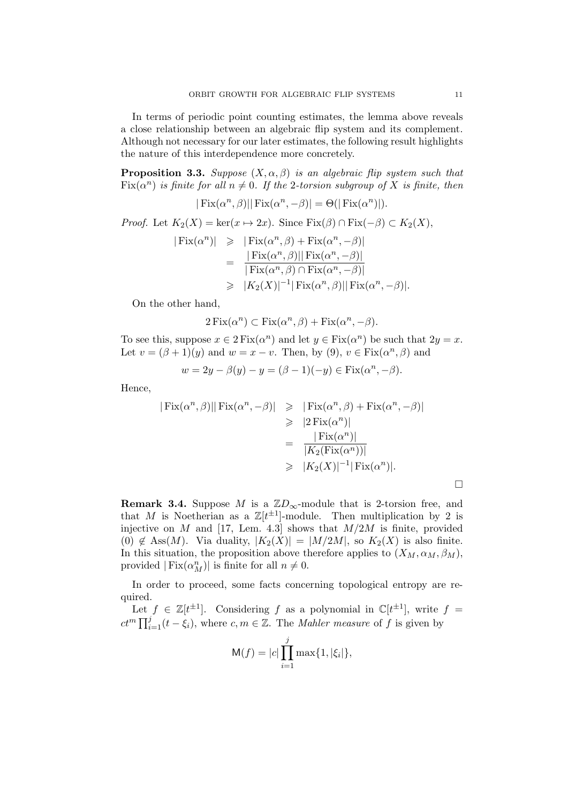In terms of periodic point counting estimates, the lemma above reveals a close relationship between an algebraic flip system and its complement. Although not necessary for our later estimates, the following result highlights the nature of this interdependence more concretely.

**Proposition 3.3.** Suppose  $(X, \alpha, \beta)$  is an algebraic flip system such that  $Fix(\alpha^n)$  is finite for all  $n \neq 0$ . If the 2-torsion subgroup of X is finite, then

$$
|\operatorname{Fix}(\alpha^n, \beta)||\operatorname{Fix}(\alpha^n, -\beta)| = \Theta(|\operatorname{Fix}(\alpha^n)|).
$$

*Proof.* Let  $K_2(X) = \ker(x \mapsto 2x)$ . Since  $\text{Fix}(\beta) \cap \text{Fix}(-\beta) \subset K_2(X)$ ,  $|\text{Fix}(\alpha^n)| \geq |\text{Fix}(\alpha^n, \beta) + \text{Fix}(\alpha^n, -\beta)|$  $=\frac{|\text{Fix}(\alpha^n,\beta)||\text{Fix}(\alpha^n,-\beta)|}{|\text{Fix}(\alpha^n,\beta)|\text{Fix}(\alpha^n,-\beta)|}$  $| Fix(\alpha^n, \beta) \cap Fix(\alpha^n, -\beta)|$  $\geqslant |K_2(X)|^{-1}|\operatorname{Fix}(\alpha^n,\beta)||\operatorname{Fix}(\alpha^n,-\beta)|.$ 

On the other hand,

$$
2\operatorname{Fix}(\alpha^n) \subset \operatorname{Fix}(\alpha^n, \beta) + \operatorname{Fix}(\alpha^n, -\beta).
$$

To see this, suppose  $x \in 2 \text{Fix}(\alpha^n)$  and let  $y \in \text{Fix}(\alpha^n)$  be such that  $2y = x$ . Let  $v = (\beta + 1)(y)$  and  $w = x - v$ . Then, by (9),  $v \in Fix(\alpha^n, \beta)$  and

$$
w = 2y - \beta(y) - y = (\beta - 1)(-y) \in \text{Fix}(\alpha^n, -\beta).
$$

Hence,

$$
|\operatorname{Fix}(\alpha^n, \beta)||\operatorname{Fix}(\alpha^n, -\beta)| \geq |\operatorname{Fix}(\alpha^n, \beta) + \operatorname{Fix}(\alpha^n, -\beta)|
$$
  
\n
$$
\geq |2 \operatorname{Fix}(\alpha^n)|
$$
  
\n
$$
= \frac{|\operatorname{Fix}(\alpha^n)|}{|K_2(\operatorname{Fix}(\alpha^n))|}
$$
  
\n
$$
\geq |K_2(X)|^{-1} |\operatorname{Fix}(\alpha^n)|.
$$

**Remark 3.4.** Suppose M is a  $\mathbb{Z}D_{\infty}$ -module that is 2-torsion free, and that M is Noetherian as a  $\mathbb{Z}[t^{\pm 1}]$ -module. Then multiplication by 2 is injective on M and [17, Lem. 4.3] shows that  $M/2M$  is finite, provided (0)  $\notin$  Ass(M). Via duality,  $|K_2(X)| = |M/2M|$ , so  $K_2(X)$  is also finite. In this situation, the proposition above therefore applies to  $(X_M, \alpha_M, \beta_M)$ , provided  $|\text{Fix}(\alpha_{M}^{n})|$  is finite for all  $n \neq 0$ .

In order to proceed, some facts concerning topological entropy are required.

Let  $f \in \mathbb{Z}[t^{\pm 1}]$ . Considering f as a polynomial in  $\mathbb{C}[t^{\pm 1}]$ , write  $f =$  $ct^m \prod_{i=1}^j (t - \xi_i)$ , where  $c, m \in \mathbb{Z}$ . The *Mahler measure* of f is given by

$$
M(f) = |c| \prod_{i=1}^{j} \max\{1, |\xi_i|\},
$$

 $\Box$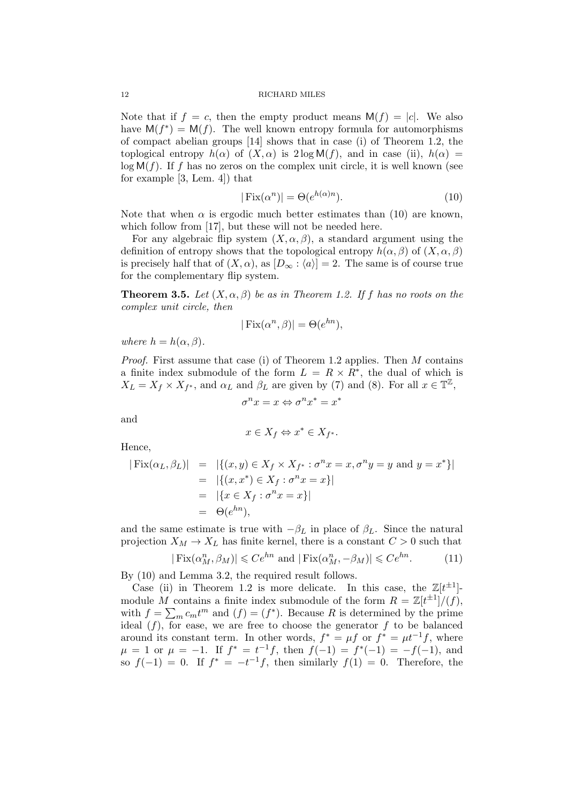Note that if  $f = c$ , then the empty product means  $M(f) = |c|$ . We also have  $M(f^*) = M(f)$ . The well known entropy formula for automorphisms of compact abelian groups [14] shows that in case (i) of Theorem 1.2, the toplogical entropy  $h(\alpha)$  of  $(X, \alpha)$  is  $2 \log M(f)$ , and in case (ii),  $h(\alpha)$  =  $log M(f)$ . If f has no zeros on the complex unit circle, it is well known (see for example [3, Lem. 4]) that

$$
|\operatorname{Fix}(\alpha^n)| = \Theta(e^{h(\alpha)n}).\tag{10}
$$

Note that when  $\alpha$  is ergodic much better estimates than (10) are known, which follow from [17], but these will not be needed here.

For any algebraic flip system  $(X, \alpha, \beta)$ , a standard argument using the definition of entropy shows that the topological entropy  $h(\alpha, \beta)$  of  $(X, \alpha, \beta)$ is precisely half that of  $(X, \alpha)$ , as  $[D_{\infty} : \langle a \rangle] = 2$ . The same is of course true for the complementary flip system.

**Theorem 3.5.** Let  $(X, \alpha, \beta)$  be as in Theorem 1.2. If f has no roots on the complex unit circle, then

$$
|\operatorname{Fix}(\alpha^n, \beta)| = \Theta(e^{hn}),
$$

where  $h = h(\alpha, \beta)$ .

*Proof.* First assume that case (i) of Theorem 1.2 applies. Then  $M$  contains a finite index submodule of the form  $L = R \times R^*$ , the dual of which is  $X_L = X_f \times X_{f^*}$ , and  $\alpha_L$  and  $\beta_L$  are given by (7) and (8). For all  $x \in \mathbb{T}^{\mathbb{Z}}$ ,

$$
\sigma^n x = x \Leftrightarrow \sigma^n x^* = x^*
$$

and

$$
x \in X_f \Leftrightarrow x^* \in X_{f^*}.
$$

Hence,

$$
|\text{Fix}(\alpha_L, \beta_L)| = |\{(x, y) \in X_f \times X_{f^*} : \sigma^n x = x, \sigma^n y = y \text{ and } y = x^* \}|
$$
  
=  $|\{(x, x^*) \in X_f : \sigma^n x = x\}|$   
=  $|\{x \in X_f : \sigma^n x = x\}|$   
=  $\Theta(e^{hn}),$ 

and the same estimate is true with  $-\beta_L$  in place of  $\beta_L$ . Since the natural projection  $X_M \to X_L$  has finite kernel, there is a constant  $C > 0$  such that

$$
|\operatorname{Fix}(\alpha_M^n, \beta_M)| \leqslant Ce^{hn} \text{ and } |\operatorname{Fix}(\alpha_M^n, -\beta_M)| \leqslant Ce^{hn}.\tag{11}
$$

By (10) and Lemma 3.2, the required result follows.

Case (ii) in Theorem 1.2 is more delicate. In this case, the  $\mathbb{Z}[t^{\pm 1}]$ module M contains a finite index submodule of the form  $R = \mathbb{Z}[t^{\pm 1}]/(f)$ , with  $f = \sum_m c_m t^m$  and  $(f) = (f^*)$ . Because R is determined by the prime ideal  $(f)$ , for ease, we are free to choose the generator f to be balanced around its constant term. In other words,  $f^* = \mu f$  or  $f^* = \mu t^{-1} f$ , where  $\mu = 1$  or  $\mu = -1$ . If  $f^* = t^{-1}f$ , then  $f(-1) = f^*(-1) = -f(-1)$ , and so  $f(-1) = 0$ . If  $f^* = -t^{-1}f$ , then similarly  $f(1) = 0$ . Therefore, the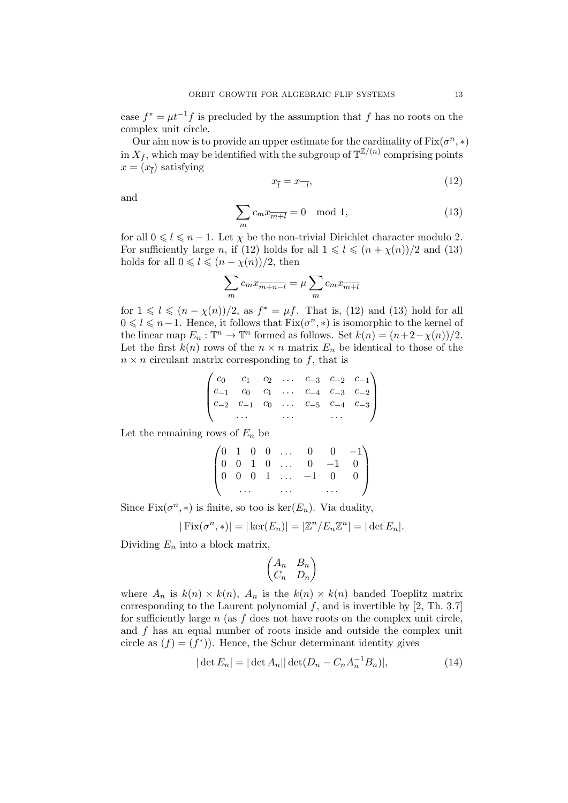case  $f^* = \mu t^{-1} f$  is precluded by the assumption that f has no roots on the complex unit circle.

Our aim now is to provide an upper estimate for the cardinality of  $Fix(\sigma^n, *)$ in  $X_f$ , which may be identified with the subgroup of  $\mathbb{T}^{\mathbb{Z}/(n)}$  comprising points  $x = (x_{\bar{l}})$  satisfying

$$
x_{\bar{l}} = x_{\bar{l}},\tag{12}
$$

and

$$
\sum_{m} c_m x_{\overline{m+l}} = 0 \mod 1,\tag{13}
$$

for all  $0 \leq l \leq n - 1$ . Let  $\chi$  be the non-trivial Dirichlet character modulo 2. For sufficiently large n, if (12) holds for all  $1 \leq l \leq (n + \chi(n))/2$  and (13) holds for all  $0 \leq l \leq (n - \chi(n))/2$ , then

$$
\sum_{m} c_m x_{\overline{m+n-l}} = \mu \sum_{m} c_m x_{\overline{m+l}}
$$

for  $1 \leq l \leq (n - \chi(n))/2$ , as  $f^* = \mu f$ . That is, (12) and (13) hold for all  $0 \leq l \leq n-1$ . Hence, it follows that  $Fix(\sigma^n, *)$  is isomorphic to the kernel of the linear map  $E_n : \mathbb{T}^n \to \mathbb{T}^n$  formed as follows. Set  $k(n) = (n+2-\chi(n))/2$ . Let the first  $k(n)$  rows of the  $n \times n$  matrix  $E_n$  be identical to those of the  $n \times n$  circulant matrix corresponding to f, that is

$$
\begin{pmatrix} c_0 & c_1 & c_2 & \dots & c_{-3} & c_{-2} & c_{-1} \\ c_{-1} & c_0 & c_1 & \dots & c_{-4} & c_{-3} & c_{-2} \\ c_{-2} & c_{-1} & c_0 & \dots & c_{-5} & c_{-4} & c_{-3} \\ \dots & \dots & \dots & \dots & \dots \end{pmatrix}
$$

Let the remaining rows of  $E_n$  be

$$
\begin{pmatrix}\n0 & 1 & 0 & 0 & \dots & 0 & 0 & -1 \\
0 & 0 & 1 & 0 & \dots & 0 & -1 & 0 \\
0 & 0 & 0 & 1 & \dots & -1 & 0 & 0 \\
& \dots & & \dots & & \dots & & \n\end{pmatrix}
$$

Since  $Fix(\sigma^n, *)$  is finite, so too is  $ker(E_n)$ . Via duality,

$$
|\operatorname{Fix}(\sigma^n,*)| = |\operatorname{ker}(E_n)| = |\mathbb{Z}^n / E_n \mathbb{Z}^n| = |\operatorname{det} E_n|.
$$

Dividing  $E_n$  into a block matrix,

$$
\begin{pmatrix} A_n & B_n \\ C_n & D_n \end{pmatrix}
$$

where  $A_n$  is  $k(n) \times k(n)$ ,  $A_n$  is the  $k(n) \times k(n)$  banded Toeplitz matrix corresponding to the Laurent polynomial  $f$ , and is invertible by [2, Th. 3.7] for sufficiently large  $n$  (as  $f$  does not have roots on the complex unit circle, and f has an equal number of roots inside and outside the complex unit circle as  $(f) = (f^*)$ . Hence, the Schur determinant identity gives

$$
|\det E_n| = |\det A_n||\det (D_n - C_n A_n^{-1} B_n)|,
$$
\n(14)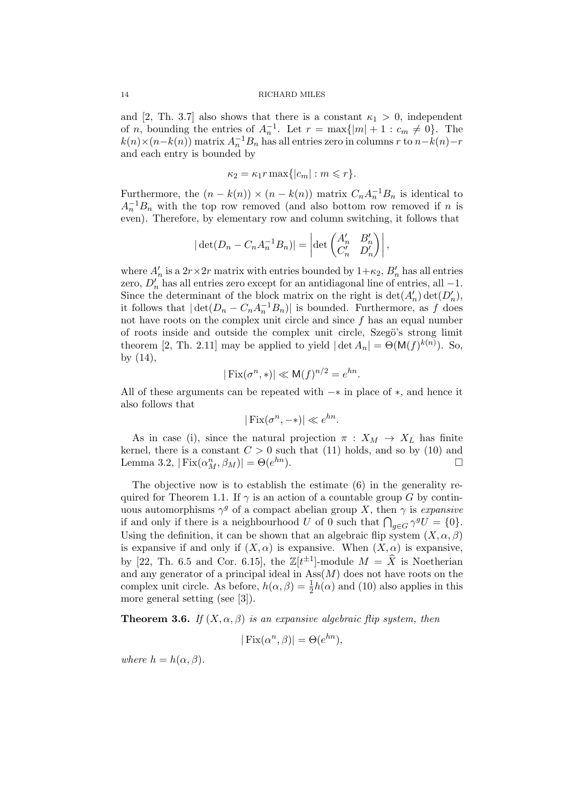and [2, Th. 3.7] also shows that there is a constant  $\kappa_1 > 0$ , independent of *n*, bounding the entries of  $A_n^{-1}$ . Let  $r = \max\{|m| + 1 : c_m \neq 0\}$ . The  $k(n) \times (n-k(n))$  matrix  $A_n^{-1}B_n$  has all entries zero in columns r to  $n-k(n)-r$ and each entry is bounded by

$$
\kappa_2 = \kappa_1 r \max\{|c_m| : m \leqslant r\}.
$$

Furthermore, the  $(n - k(n)) \times (n - k(n))$  matrix  $C_n A_n^{-1} B_n$  is identical to  $A_n^{-1}B_n$  with the top row removed (and also bottom row removed if n is even). Therefore, by elementary row and column switching, it follows that

$$
|\det(D_n - C_n A_n^{-1} B_n)| = \left| \det \begin{pmatrix} A'_n & B'_n \\ C'_n & D'_n \end{pmatrix} \right|,
$$

where  $A'_n$  is a  $2r \times 2r$  matrix with entries bounded by  $1+\kappa_2$ ,  $B'_n$  has all entries zero,  $D'_n$  has all entries zero except for an antidiagonal line of entries, all  $-1$ . Since the determinant of the block matrix on the right is  $\det(A'_n) \det(D'_n)$ , it follows that  $|\det(D_n - C_n A_n^{-1} B_n)|$  is bounded. Furthermore, as f does not have roots on the complex unit circle and since f has an equal number of roots inside and outside the complex unit circle, Szegö's strong limit theorem [2, Th. 2.11] may be applied to yield  $|\det A_n| = \Theta(\mathsf{M}(f)^{k(n)})$ . So, by (14),

$$
|\operatorname{Fix}(\sigma^n,*)| \ll \mathsf{M}(f)^{n/2} = e^{hn}.
$$

All of these arguments can be repeated with −∗ in place of ∗, and hence it also follows that

$$
|\operatorname{Fix}(\sigma^n, -*)| \ll e^{hn}.
$$

As in case (i), since the natural projection  $\pi$  :  $X_M \to X_L$  has finite kernel, there is a constant  $C > 0$  such that (11) holds, and so by (10) and Lemma 3.2,  $|\text{Fix}(\alpha_M^n, \beta_M)| = \Theta(e)$  $^{hn}$ ).

The objective now is to establish the estimate (6) in the generality required for Theorem 1.1. If  $\gamma$  is an action of a countable group G by continuous automorphisms  $\gamma^g$  of a compact abelian group X, then  $\gamma$  is expansive if and only if there is a neighbourhood U of 0 such that  $\bigcap_{g\in G}\gamma^gU = \{0\}.$ Using the definition, it can be shown that an algebraic flip system  $(X, \alpha, \beta)$ is expansive if and only if  $(X, \alpha)$  is expansive. When  $(X, \alpha)$  is expansive, by [22, Th. 6.5 and Cor. 6.15], the  $\mathbb{Z}[t^{\pm 1}]$ -module  $M = \hat{X}$  is Noetherian and any generator of a principal ideal in  $Ass(M)$  does not have roots on the complex unit circle. As before,  $h(\alpha, \beta) = \frac{1}{2}h(\alpha)$  and (10) also applies in this more general setting (see [3]).

**Theorem 3.6.** If  $(X, \alpha, \beta)$  is an expansive algebraic flip system, then

$$
|\operatorname{Fix}(\alpha^n, \beta)| = \Theta(e^{hn}),
$$

where  $h = h(\alpha, \beta)$ .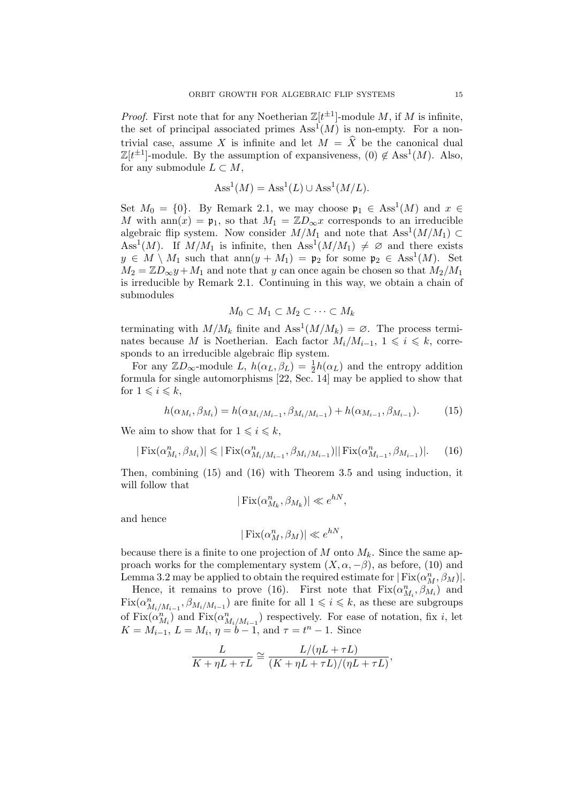*Proof.* First note that for any Noetherian  $\mathbb{Z}[t^{\pm 1}]$ -module M, if M is infinite, the set of principal associated primes  $\operatorname{Ass}^1(M)$  is non-empty. For a nontrivial case, assume X is infinite and let  $M = \hat{X}$  be the canonical dual  $\mathbb{Z}[t^{\pm 1}]$ -module. By the assumption of expansiveness,  $(0) \notin \text{Ass}^1(M)$ . Also, for any submodule  $L \subset M$ ,

$$
Ass1(M) = Ass1(L) \cup Ass1(M/L).
$$

Set  $M_0 = \{0\}$ . By Remark 2.1, we may choose  $\mathfrak{p}_1 \in \text{Ass}^1(M)$  and  $x \in$ M with ann $(x) = \mathfrak{p}_1$ , so that  $M_1 = \mathbb{Z}D_{\infty}x$  corresponds to an irreducible algebraic flip system. Now consider  $M/M_1$  and note that  $Ass<sup>1</sup>(M/M_1) \subset$ Ass<sup>1</sup>(M). If  $M/M_1$  is infinite, then Ass<sup>1</sup>( $M/M_1$ )  $\neq \emptyset$  and there exists  $y \in M \setminus M_1$  such that  $ann(y + M_1) = \mathfrak{p}_2$  for some  $\mathfrak{p}_2 \in \text{Ass}^1(M)$ . Set  $M_2 = \mathbb{Z}D_{\infty}y + M_1$  and note that y can once again be chosen so that  $M_2/M_1$ is irreducible by Remark 2.1. Continuing in this way, we obtain a chain of submodules

$$
M_0 \subset M_1 \subset M_2 \subset \cdots \subset M_k
$$

terminating with  $M/M_k$  finite and  $\text{Ass}^1(M/M_k) = \emptyset$ . The process terminates because M is Noetherian. Each factor  $M_i/M_{i-1}$ ,  $1 \leq i \leq k$ , corresponds to an irreducible algebraic flip system.

For any  $\mathbb{Z}D_{\infty}$ -module  $\overline{L}$ ,  $h(\alpha_L, \beta_L) = \frac{1}{2}h(\alpha_L)$  and the entropy addition formula for single automorphisms [22, Sec. 14] may be applied to show that for  $1 \leqslant i \leqslant k$ ,

$$
h(\alpha_{M_i}, \beta_{M_i}) = h(\alpha_{M_i/M_{i-1}}, \beta_{M_i/M_{i-1}}) + h(\alpha_{M_{i-1}}, \beta_{M_{i-1}}). \tag{15}
$$

We aim to show that for  $1 \leq i \leq k$ ,

$$
|\text{Fix}(\alpha_{M_i}^n, \beta_{M_i})| \leq |\text{Fix}(\alpha_{M_i/M_{i-1}}^n, \beta_{M_i/M_{i-1}})||\text{Fix}(\alpha_{M_{i-1}}^n, \beta_{M_{i-1}})|. \tag{16}
$$

Then, combining (15) and (16) with Theorem 3.5 and using induction, it will follow that

$$
|\operatorname{Fix}(\alpha_{M_k}^n, \beta_{M_k})| \ll e^{hN},
$$

and hence

$$
|\operatorname{Fix}(\alpha_M^n, \beta_M)| \ll e^{hN},
$$

because there is a finite to one projection of M onto  $M_k$ . Since the same approach works for the complementary system  $(X, \alpha, -\beta)$ , as before, (10) and Lemma 3.2 may be applied to obtain the required estimate for  $|\operatorname{Fix}(\alpha_{M}^{n},\beta_{M})|.$ 

Hence, it remains to prove (16). First note that  $Fix(\alpha_{M_i}^n, \beta_{M_i}^n)$  and  $\text{Fix}(\alpha_{M_i/M_{i-1}}^n, \beta_{M_i/M_{i-1}})$  are finite for all  $1 \leq i \leq k$ , as these are subgroups of  $\text{Fix}(\alpha_{M_i}^n)$  and  $\text{Fix}(\alpha_{M_i/M_{i-1}}^n)$  respectively. For ease of notation, fix i, let  $K = M_{i-1}, L = M_i, \eta = b-1, \text{ and } \tau = t^n - 1.$  Since

$$
\frac{L}{K+\eta L+\tau L}\cong \frac{L/(\eta L+\tau L)}{(K+\eta L+\tau L)/(\eta L+\tau L)},
$$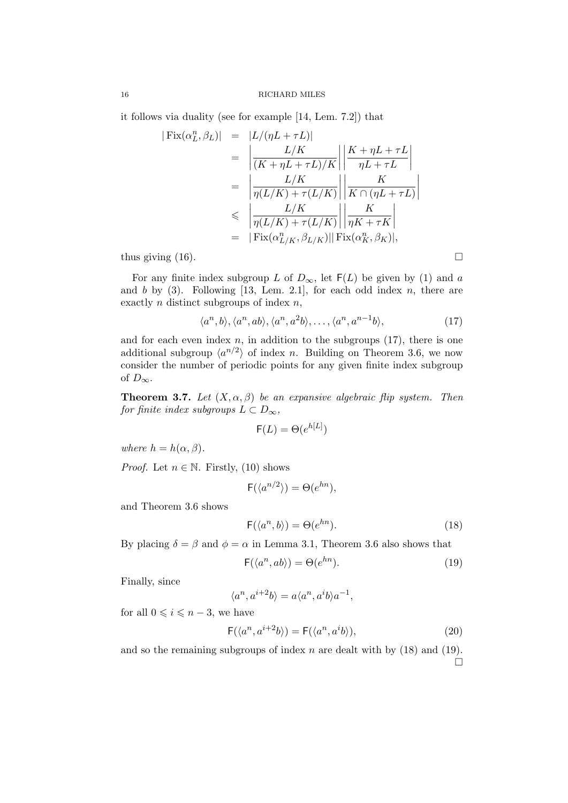it follows via duality (see for example [14, Lem. 7.2]) that

$$
|\operatorname{Fix}(\alpha_L^n, \beta_L)| = |L/(\eta L + \tau L)|
$$
  
\n
$$
= \left| \frac{L/K}{(K + \eta L + \tau L)/K} \right| \left| \frac{K + \eta L + \tau L}{\eta L + \tau L} \right|
$$
  
\n
$$
= \left| \frac{L/K}{\eta(L/K) + \tau(L/K)} \right| \left| \frac{K}{K \cap (\eta L + \tau L)} \right|
$$
  
\n
$$
\leq \left| \frac{L/K}{\eta(L/K) + \tau(L/K)} \right| \left| \frac{K}{\eta K + \tau K} \right|
$$
  
\n
$$
= |\operatorname{Fix}(\alpha_{L/K}^n, \beta_{L/K})| |\operatorname{Fix}(\alpha_K^n, \beta_K)|,
$$
  
\nthus giving (16).

For any finite index subgroup L of  $D_{\infty}$ , let  $F(L)$  be given by (1) and a and b by  $(3)$ . Following [13, Lem. 2.1], for each odd index n, there are exactly  $n$  distinct subgroups of index  $n$ ,

$$
\langle a^n, b \rangle, \langle a^n, ab \rangle, \langle a^n, a^2b \rangle, \dots, \langle a^n, a^{n-1}b \rangle,
$$
\n(17)

and for each even index  $n$ , in addition to the subgroups  $(17)$ , there is one additional subgroup  $\langle a^{n/2} \rangle$  of index n. Building on Theorem 3.6, we now consider the number of periodic points for any given finite index subgroup of  $D_{\infty}$ .

**Theorem 3.7.** Let  $(X, \alpha, \beta)$  be an expansive algebraic flip system. Then for finite index subgroups  $L \subset D_{\infty}$ ,

$$
\mathsf{F}(L) = \Theta(e^{h[L]})
$$

where  $h = h(\alpha, \beta)$ .

*Proof.* Let  $n \in \mathbb{N}$ . Firstly, (10) shows

$$
\mathsf{F}(\langle a^{n/2} \rangle) = \Theta(e^{hn}),
$$

and Theorem 3.6 shows

$$
F(\langle a^n, b \rangle) = \Theta(e^{hn}).\tag{18}
$$

By placing  $\delta = \beta$  and  $\phi = \alpha$  in Lemma 3.1, Theorem 3.6 also shows that

$$
\mathsf{F}(\langle a^n, ab \rangle) = \Theta(e^{hn}).\tag{19}
$$

Finally, since

$$
\langle a^n, a^{i+2}b\rangle = a\langle a^n, a^ib\rangle a^{-1},
$$

for all  $0 \leq i \leq n-3$ , we have

$$
\mathsf{F}(\langle a^n, a^{i+2}b \rangle) = \mathsf{F}(\langle a^n, a^i b \rangle),\tag{20}
$$

and so the remaining subgroups of index  $n$  are dealt with by  $(18)$  and  $(19)$ .  $\Box$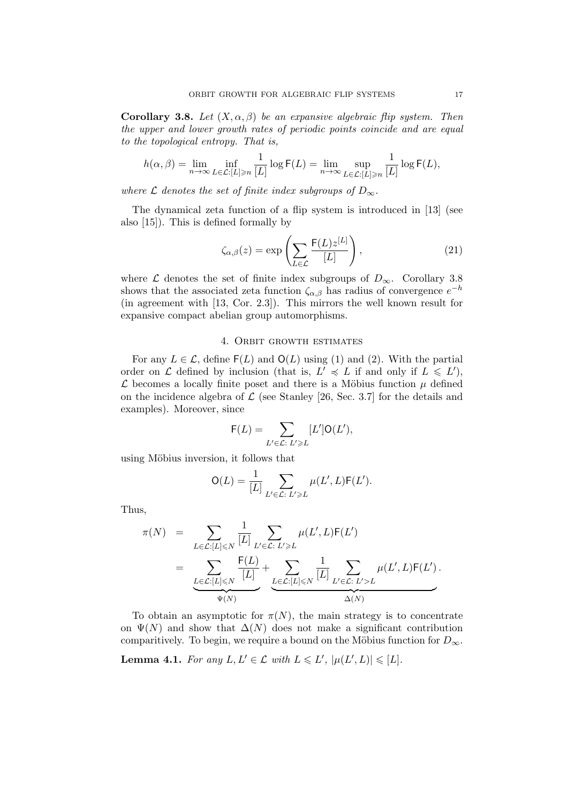Corollary 3.8. Let  $(X, \alpha, \beta)$  be an expansive algebraic flip system. Then the upper and lower growth rates of periodic points coincide and are equal to the topological entropy. That is,

$$
h(\alpha, \beta) = \lim_{n \to \infty} \inf_{L \in \mathcal{L}: [L] \ge n} \frac{1}{[L]} \log \mathsf{F}(L) = \lim_{n \to \infty} \sup_{L \in \mathcal{L}: [L] \ge n} \frac{1}{[L]} \log \mathsf{F}(L),
$$

where  $\mathcal L$  denotes the set of finite index subgroups of  $D_{\infty}$ .

The dynamical zeta function of a flip system is introduced in [13] (see also [15]). This is defined formally by

$$
\zeta_{\alpha,\beta}(z) = \exp\left(\sum_{L\in\mathcal{L}} \frac{\mathsf{F}(L)z^{[L]}}{[L]}\right),\tag{21}
$$

where  $\mathcal L$  denotes the set of finite index subgroups of  $D_{\infty}$ . Corollary 3.8 shows that the associated zeta function  $\zeta_{\alpha,\beta}$  has radius of convergence  $e^{-h}$ (in agreement with [13, Cor. 2.3]). This mirrors the well known result for expansive compact abelian group automorphisms.

#### 4. Orbit growth estimates

For any  $L \in \mathcal{L}$ , define  $F(L)$  and  $O(L)$  using (1) and (2). With the partial order on L defined by inclusion (that is,  $L' \preccurlyeq L$  if and only if  $L \leq L'$ ),  $\mathcal L$  becomes a locally finite poset and there is a Möbius function  $\mu$  defined on the incidence algebra of  $\mathcal L$  (see Stanley [26, Sec. 3.7] for the details and examples). Moreover, since

$$
\mathsf{F}(L) = \sum_{L' \in \mathcal{L}: \ L' \geqslant L} [L'] \mathsf{O}(L'),
$$

using Möbius inversion, it follows that

$$
\mathsf{O}(L) = \frac{1}{[L]} \sum_{L' \in \mathcal{L}: L' \geq L} \mu(L', L) \mathsf{F}(L').
$$

Thus,

$$
\pi(N) = \sum_{L \in \mathcal{L}: [L] \leqslant N} \frac{1}{[L]} \sum_{L' \in \mathcal{L}: L' \geqslant L} \mu(L', L) \mathsf{F}(L')
$$
\n
$$
= \underbrace{\sum_{L \in \mathcal{L}: [L] \leqslant N} \frac{\mathsf{F}(L)}{[L]}}_{\Psi(N)} + \underbrace{\sum_{L \in \mathcal{L}: [L] \leqslant N} \frac{1}{[L]} \sum_{L' \in \mathcal{L}: L' > L} \mu(L', L) \mathsf{F}(L')}_{\Delta(N)}.
$$

To obtain an asymptotic for  $\pi(N)$ , the main strategy is to concentrate on  $\Psi(N)$  and show that  $\Delta(N)$  does not make a significant contribution comparitively. To begin, we require a bound on the Möbius function for  $D_{\infty}$ .

**Lemma 4.1.** For any  $L, L' \in \mathcal{L}$  with  $L \leq L'$ ,  $|\mu(L', L)| \leq |L|$ .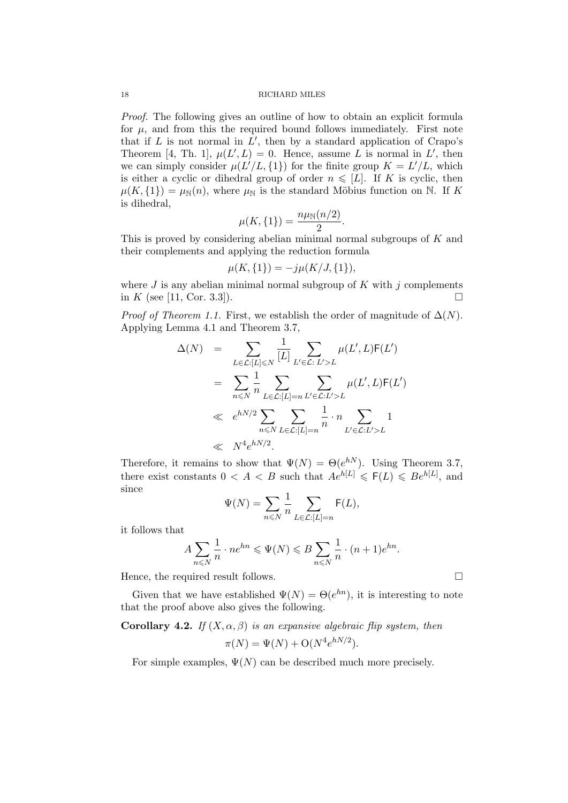Proof. The following gives an outline of how to obtain an explicit formula for  $\mu$ , and from this the required bound follows immediately. First note that if  $L$  is not normal in  $L'$ , then by a standard application of Crapo's Theorem [4, Th. 1],  $\mu(L', L) = 0$ . Hence, assume L is normal in L', then we can simply consider  $\mu(L'/L, \{1\})$  for the finite group  $K = L'/L$ , which is either a cyclic or dihedral group of order  $n \leq L$ . If K is cyclic, then  $\mu(K, \{1\}) = \mu_N(n)$ , where  $\mu_N$  is the standard Möbius function on N. If K is dihedral,

$$
\mu(K, \{1\}) = \frac{n\mu_{\mathbb{N}}(n/2)}{2}.
$$

This is proved by considering abelian minimal normal subgroups of K and their complements and applying the reduction formula

$$
\mu(K, \{1\}) = -j\mu(K/J, \{1\}),
$$

where  $J$  is any abelian minimal normal subgroup of  $K$  with  $j$  complements in K (see [11, Cor. 3.3]).

*Proof of Theorem 1.1.* First, we establish the order of magnitude of  $\Delta(N)$ . Applying Lemma 4.1 and Theorem 3.7,

$$
\Delta(N) = \sum_{L \in \mathcal{L}: [L] \leq N} \frac{1}{[L]} \sum_{L' \in \mathcal{L}: L' > L} \mu(L', L) F(L')
$$
  

$$
= \sum_{n \leq N} \frac{1}{n} \sum_{L \in \mathcal{L}: [L] = n} \sum_{L' \in \mathcal{L}: L' > L} \mu(L', L) F(L')
$$
  

$$
\ll e^{hN/2} \sum_{n \leq N} \sum_{L \in \mathcal{L}: [L] = n} \frac{1}{n} \cdot n \sum_{L' \in \mathcal{L}: L' > L} 1
$$
  

$$
\ll N^4 e^{hN/2}.
$$

Therefore, it remains to show that  $\Psi(N) = \Theta(e^{hN})$ . Using Theorem 3.7, there exist constants  $0 < A < B$  such that  $Ae^{h[L]} \leq F(L) \leq Be^{h[L]}$ , and since

$$
\Psi(N) = \sum_{n \leq N} \frac{1}{n} \sum_{L \in \mathcal{L}: [L] = n} \mathsf{F}(L),
$$

it follows that

$$
A\sum_{n\leqslant N}\frac{1}{n}\cdot ne^{hn}\leqslant \Psi(N)\leqslant B\sum_{n\leqslant N}\frac{1}{n}\cdot (n+1)e^{hn}.
$$

Hence, the required result follows.  $\Box$ 

Given that we have established  $\Psi(N) = \Theta(e^{hn})$ , it is interesting to note that the proof above also gives the following.

## Corollary 4.2. If  $(X, \alpha, \beta)$  is an expansive algebraic flip system, then

$$
\pi(N) = \Psi(N) + \mathcal{O}(N^4 e^{hN/2}).
$$

For simple examples,  $\Psi(N)$  can be described much more precisely.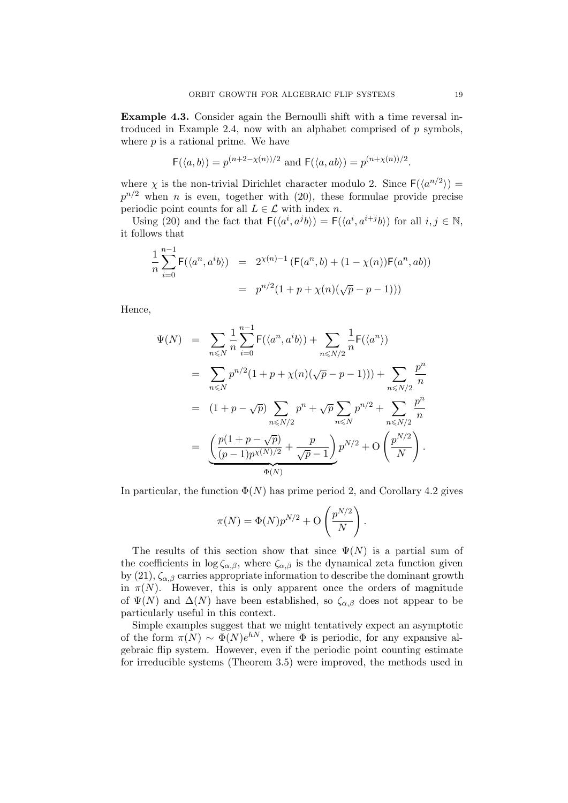Example 4.3. Consider again the Bernoulli shift with a time reversal introduced in Example 2.4, now with an alphabet comprised of  $p$  symbols, where  $p$  is a rational prime. We have

$$
F(\langle a,b\rangle) = p^{(n+2-\chi(n))/2} \text{ and } F(\langle a,ab\rangle) = p^{(n+\chi(n))/2}.
$$

where  $\chi$  is the non-trivial Dirichlet character modulo 2. Since  $F(\langle a^{n/2} \rangle) =$  $p^{n/2}$  when n is even, together with (20), these formulae provide precise periodic point counts for all  $L \in \mathcal{L}$  with index n.

Using (20) and the fact that  $F(\langle a^i, a^j b \rangle) = F(\langle a^i, a^{i+j} b \rangle)$  for all  $i, j \in \mathbb{N}$ , it follows that

$$
\frac{1}{n} \sum_{i=0}^{n-1} \mathsf{F}(\langle a^n, a^i b \rangle) = 2^{\chi(n)-1} \left( \mathsf{F}(a^n, b) + (1 - \chi(n)) \mathsf{F}(a^n, ab) \right)
$$

$$
= p^{n/2} (1 + p + \chi(n) (\sqrt{p} - p - 1))
$$

Hence,

$$
\Psi(N) = \sum_{n \leq N} \frac{1}{n} \sum_{i=0}^{n-1} F(\langle a^n, a^i b \rangle) + \sum_{n \leq N/2} \frac{1}{n} F(\langle a^n \rangle)
$$
  
\n
$$
= \sum_{n \leq N} p^{n/2} (1 + p + \chi(n)(\sqrt{p} - p - 1))) + \sum_{n \leq N/2} \frac{p^n}{n}
$$
  
\n
$$
= (1 + p - \sqrt{p}) \sum_{n \leq N/2} p^n + \sqrt{p} \sum_{n \leq N} p^{n/2} + \sum_{n \leq N/2} \frac{p^n}{n}
$$
  
\n
$$
= \underbrace{\left(\frac{p(1 + p - \sqrt{p})}{(p - 1)p^{\chi(N)/2}} + \frac{p}{\sqrt{p} - 1}\right)}_{\Phi(N)} p^{N/2} + O\left(\frac{p^{N/2}}{N}\right).
$$

In particular, the function  $\Phi(N)$  has prime period 2, and Corollary 4.2 gives

$$
\pi(N) = \Phi(N)p^{N/2} + \mathcal{O}\left(\frac{p^{N/2}}{N}\right).
$$

The results of this section show that since  $\Psi(N)$  is a partial sum of the coefficients in  $\log \zeta_{\alpha,\beta}$ , where  $\zeta_{\alpha,\beta}$  is the dynamical zeta function given by (21),  $\zeta_{\alpha,\beta}$  carries appropriate information to describe the dominant growth in  $\pi(N)$ . However, this is only apparent once the orders of magnitude of  $\Psi(N)$  and  $\Delta(N)$  have been established, so  $\zeta_{\alpha,\beta}$  does not appear to be particularly useful in this context.

Simple examples suggest that we might tentatively expect an asymptotic of the form  $\pi(N) \sim \Phi(N)e^{hN}$ , where  $\Phi$  is periodic, for any expansive algebraic flip system. However, even if the periodic point counting estimate for irreducible systems (Theorem 3.5) were improved, the methods used in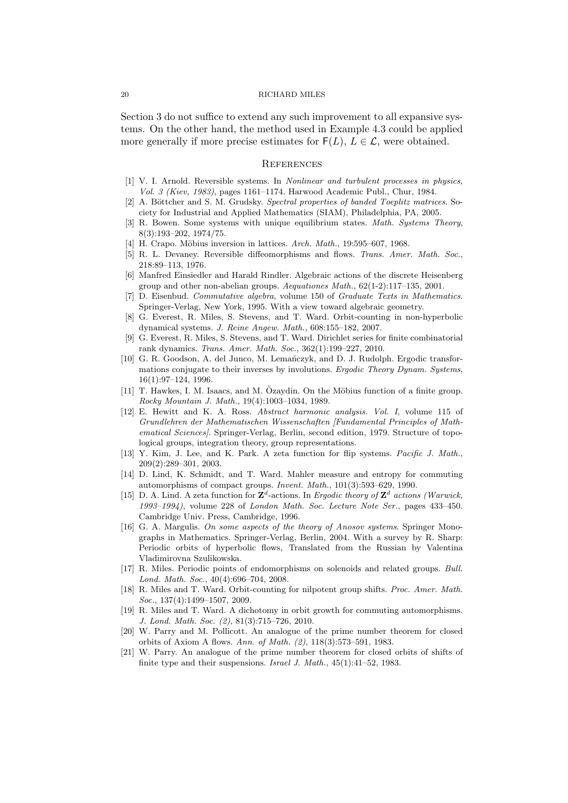Section 3 do not suffice to extend any such improvement to all expansive systems. On the other hand, the method used in Example 4.3 could be applied more generally if more precise estimates for  $F(L)$ ,  $L \in \mathcal{L}$ , were obtained.

#### **REFERENCES**

- [1] V. I. Arnold. Reversible systems. In Nonlinear and turbulent processes in physics, Vol. 3 (Kiev, 1983), pages 1161–1174. Harwood Academic Publ., Chur, 1984.
- [2] A. Böttcher and S. M. Grudsky. Spectral properties of banded Toeplitz matrices. Society for Industrial and Applied Mathematics (SIAM), Philadelphia, PA, 2005.
- [3] R. Bowen. Some systems with unique equilibrium states. Math. Systems Theory, 8(3):193–202, 1974/75.
- [4] H. Crapo. Möbius inversion in lattices. Arch. Math., 19:595–607, 1968.
- [5] R. L. Devaney. Reversible diffeomorphisms and flows. Trans. Amer. Math. Soc., 218:89–113, 1976.
- [6] Manfred Einsiedler and Harald Rindler. Algebraic actions of the discrete Heisenberg group and other non-abelian groups. Aequationes Math., 62(1-2):117–135, 2001.
- [7] D. Eisenbud. Commutative algebra, volume 150 of Graduate Texts in Mathematics. Springer-Verlag, New York, 1995. With a view toward algebraic geometry.
- [8] G. Everest, R. Miles, S. Stevens, and T. Ward. Orbit-counting in non-hyperbolic dynamical systems. J. Reine Angew. Math., 608:155–182, 2007.
- [9] G. Everest, R. Miles, S. Stevens, and T. Ward. Dirichlet series for finite combinatorial rank dynamics. Trans. Amer. Math. Soc., 362(1):199–227, 2010.
- [10] G. R. Goodson, A. del Junco, M. Lemanczyk, and D. J. Rudolph. Ergodic transformations conjugate to their inverses by involutions. Ergodic Theory Dynam. Systems, 16(1):97–124, 1996.
- [11] T. Hawkes, I. M. Isaacs, and M. Özaydin. On the Möbius function of a finite group. Rocky Mountain J. Math., 19(4):1003–1034, 1989.
- [12] E. Hewitt and K. A. Ross. Abstract harmonic analysis. Vol. I, volume 115 of Grundlehren der Mathematischen Wissenschaften [Fundamental Principles of Mathematical Sciences]. Springer-Verlag, Berlin, second edition, 1979. Structure of topological groups, integration theory, group representations.
- [13] Y. Kim, J. Lee, and K. Park. A zeta function for flip systems. Pacific J. Math., 209(2):289–301, 2003.
- [14] D. Lind, K. Schmidt, and T. Ward. Mahler measure and entropy for commuting automorphisms of compact groups. Invent. Math., 101(3):593–629, 1990.
- [15] D. A. Lind. A zeta function for  $\mathbf{Z}^d$ -actions. In Ergodic theory of  $\mathbf{Z}^d$  actions (Warwick, 1993–1994), volume 228 of London Math. Soc. Lecture Note Ser., pages 433–450. Cambridge Univ. Press, Cambridge, 1996.
- [16] G. A. Margulis. On some aspects of the theory of Anosov systems. Springer Monographs in Mathematics. Springer-Verlag, Berlin, 2004. With a survey by R. Sharp: Periodic orbits of hyperbolic flows, Translated from the Russian by Valentina Vladimirovna Szulikowska.
- [17] R. Miles. Periodic points of endomorphisms on solenoids and related groups. Bull. Lond. Math. Soc., 40(4):696–704, 2008.
- [18] R. Miles and T. Ward. Orbit-counting for nilpotent group shifts. Proc. Amer. Math. Soc., 137(4):1499-1507, 2009.
- [19] R. Miles and T. Ward. A dichotomy in orbit growth for commuting automorphisms. J. Lond. Math. Soc. (2), 81(3):715–726, 2010.
- [20] W. Parry and M. Pollicott. An analogue of the prime number theorem for closed orbits of Axiom A flows. Ann. of Math. (2), 118(3):573–591, 1983.
- [21] W. Parry. An analogue of the prime number theorem for closed orbits of shifts of finite type and their suspensions. Israel J. Math., 45(1):41–52, 1983.